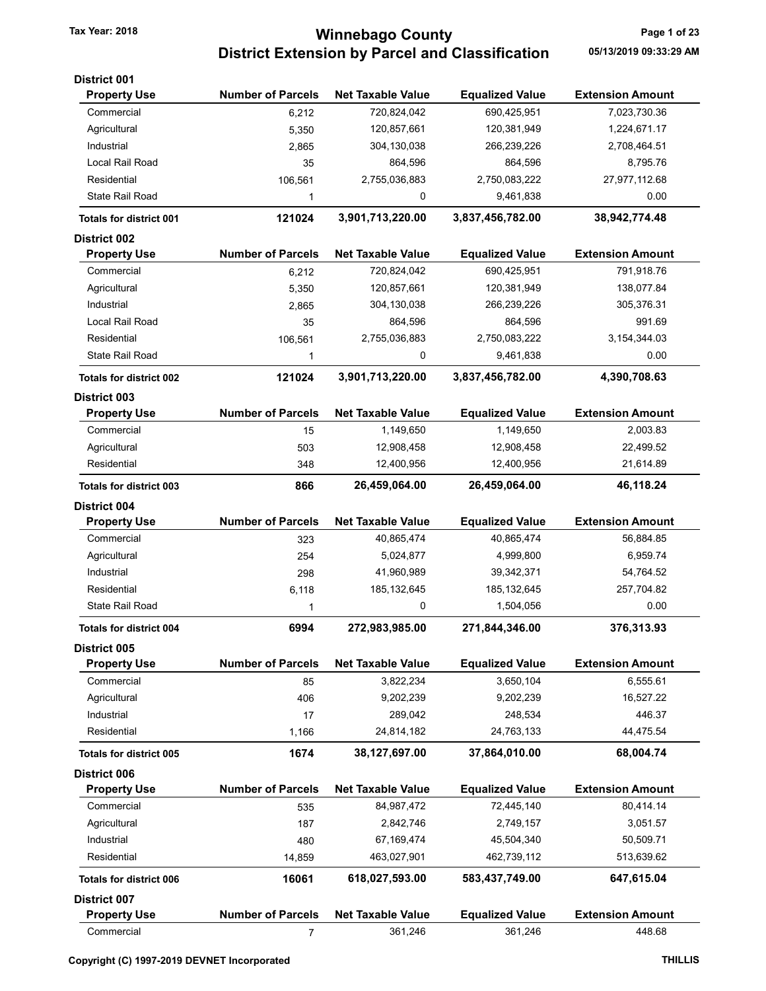### Tax Year: 2018 **Tax Year: 2018** Page 1 of 23 District Extension by Parcel and Classification 05/13/2019 09:33:29 AM

| District 001                   |                          |                          |                        |                         |
|--------------------------------|--------------------------|--------------------------|------------------------|-------------------------|
| <b>Property Use</b>            | <b>Number of Parcels</b> | <b>Net Taxable Value</b> | <b>Equalized Value</b> | <b>Extension Amount</b> |
| Commercial                     | 6,212                    | 720,824,042              | 690,425,951            | 7,023,730.36            |
| Agricultural                   | 5,350                    | 120,857,661              | 120,381,949            | 1,224,671.17            |
| Industrial                     | 2,865                    | 304, 130, 038            | 266,239,226            | 2,708,464.51            |
| Local Rail Road                | 35                       | 864,596                  | 864,596                | 8,795.76                |
| Residential                    | 106,561                  | 2,755,036,883            | 2,750,083,222          | 27,977,112.68           |
| <b>State Rail Road</b>         | 1                        | 0                        | 9,461,838              | 0.00                    |
| <b>Totals for district 001</b> | 121024                   | 3,901,713,220.00         | 3,837,456,782.00       | 38,942,774.48           |
| <b>District 002</b>            |                          |                          |                        |                         |
| <b>Property Use</b>            | <b>Number of Parcels</b> | <b>Net Taxable Value</b> | <b>Equalized Value</b> | <b>Extension Amount</b> |
| Commercial                     | 6,212                    | 720,824,042              | 690,425,951            | 791,918.76              |
| Agricultural                   | 5,350                    | 120,857,661              | 120,381,949            | 138,077.84              |
| Industrial                     | 2,865                    | 304,130,038              | 266,239,226            | 305,376.31              |
| Local Rail Road                | 35                       | 864,596                  | 864,596                | 991.69                  |
| Residential                    | 106,561                  | 2,755,036,883            | 2,750,083,222          | 3,154,344.03            |
| <b>State Rail Road</b>         | 1                        | 0                        | 9,461,838              | 0.00                    |
| <b>Totals for district 002</b> | 121024                   | 3,901,713,220.00         | 3,837,456,782.00       | 4,390,708.63            |
| <b>District 003</b>            |                          |                          |                        |                         |
| <b>Property Use</b>            | <b>Number of Parcels</b> | <b>Net Taxable Value</b> | <b>Equalized Value</b> | <b>Extension Amount</b> |
| Commercial                     | 15                       | 1,149,650                | 1,149,650              | 2,003.83                |
| Agricultural                   | 503                      | 12,908,458               | 12,908,458             | 22,499.52               |
| Residential                    | 348                      | 12,400,956               | 12,400,956             | 21,614.89               |
| <b>Totals for district 003</b> | 866                      | 26,459,064.00            | 26,459,064.00          | 46,118.24               |
| <b>District 004</b>            |                          |                          |                        |                         |
| <b>Property Use</b>            | <b>Number of Parcels</b> | <b>Net Taxable Value</b> | <b>Equalized Value</b> | <b>Extension Amount</b> |
| Commercial                     | 323                      | 40,865,474               | 40,865,474             | 56,884.85               |
| Agricultural                   | 254                      | 5,024,877                | 4,999,800              | 6,959.74                |
| Industrial                     | 298                      | 41,960,989               | 39,342,371             | 54,764.52               |
| Residential                    | 6,118                    | 185, 132, 645            | 185, 132, 645          | 257,704.82              |
| <b>State Rail Road</b>         | 1                        | 0                        | 1,504,056              | 0.00                    |
| Totals for district 004        | 6994                     | 272,983,985.00           | 271,844,346.00         | 376.313.93              |
| <b>District 005</b>            |                          |                          |                        |                         |
| <b>Property Use</b>            | <b>Number of Parcels</b> | <b>Net Taxable Value</b> | <b>Equalized Value</b> | <b>Extension Amount</b> |
| Commercial                     | 85                       | 3,822,234                | 3,650,104              | 6,555.61                |
| Agricultural                   | 406                      | 9,202,239                | 9,202,239              | 16,527.22               |
| Industrial                     | 17                       | 289,042                  | 248,534                | 446.37                  |
| Residential                    | 1,166                    | 24,814,182               | 24,763,133             | 44,475.54               |
| <b>Totals for district 005</b> | 1674                     | 38,127,697.00            | 37,864,010.00          | 68,004.74               |
| District 006                   |                          |                          |                        |                         |
| <b>Property Use</b>            | <b>Number of Parcels</b> | <b>Net Taxable Value</b> | <b>Equalized Value</b> | <b>Extension Amount</b> |
| Commercial                     | 535                      | 84,987,472               | 72,445,140             | 80,414.14               |
| Agricultural                   | 187                      | 2,842,746                | 2,749,157              | 3,051.57                |
| Industrial                     | 480                      | 67,169,474               | 45,504,340             | 50,509.71               |
| Residential                    | 14,859                   | 463,027,901              | 462,739,112            | 513,639.62              |
| <b>Totals for district 006</b> | 16061                    | 618,027,593.00           | 583,437,749.00         | 647,615.04              |
| <b>District 007</b>            |                          |                          |                        |                         |
| <b>Property Use</b>            | <b>Number of Parcels</b> | <b>Net Taxable Value</b> | <b>Equalized Value</b> | <b>Extension Amount</b> |
| Commercial                     | 7                        | 361,246                  | 361,246                | 448.68                  |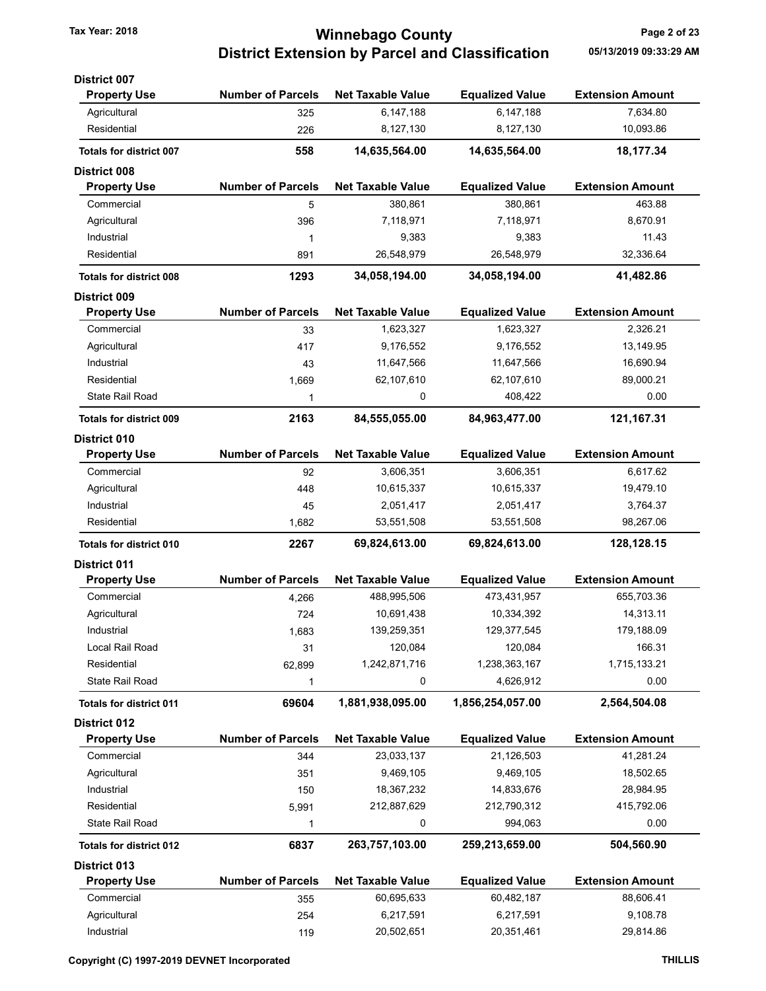# Tax Year: 2018 **Tax Year: 2018** Page 2 of 23 District Extension by Parcel and Classification 05/13/2019 09:33:29 AM

| <b>District 007</b>            |                          |                          |                        |                         |
|--------------------------------|--------------------------|--------------------------|------------------------|-------------------------|
| <b>Property Use</b>            | <b>Number of Parcels</b> | <b>Net Taxable Value</b> | <b>Equalized Value</b> | <b>Extension Amount</b> |
| Agricultural                   | 325                      | 6,147,188                | 6,147,188              | 7,634.80                |
| Residential                    | 226                      | 8,127,130                | 8,127,130              | 10,093.86               |
| Totals for district 007        | 558                      | 14,635,564.00            | 14,635,564.00          | 18,177.34               |
| <b>District 008</b>            |                          |                          |                        |                         |
| <b>Property Use</b>            | <b>Number of Parcels</b> | <b>Net Taxable Value</b> | <b>Equalized Value</b> | <b>Extension Amount</b> |
| Commercial                     | 5                        | 380,861                  | 380,861                | 463.88                  |
| Agricultural                   | 396                      | 7,118,971                | 7,118,971              | 8,670.91                |
| Industrial                     | 1                        | 9,383                    | 9,383                  | 11.43                   |
| Residential                    | 891                      | 26,548,979               | 26,548,979             | 32,336.64               |
| <b>Totals for district 008</b> | 1293                     | 34,058,194.00            | 34,058,194.00          | 41,482.86               |
| <b>District 009</b>            |                          |                          |                        |                         |
| <b>Property Use</b>            | <b>Number of Parcels</b> | <b>Net Taxable Value</b> | <b>Equalized Value</b> | <b>Extension Amount</b> |
| Commercial                     | 33                       | 1,623,327                | 1,623,327              | 2,326.21                |
| Agricultural                   | 417                      | 9,176,552                | 9,176,552              | 13,149.95               |
| Industrial                     | 43                       | 11,647,566               | 11,647,566             | 16,690.94               |
| Residential                    | 1,669                    | 62,107,610               | 62,107,610             | 89,000.21               |
| <b>State Rail Road</b>         | 1                        | 0                        | 408,422                | 0.00                    |
| <b>Totals for district 009</b> | 2163                     | 84,555,055.00            | 84,963,477.00          | 121, 167.31             |
| <b>District 010</b>            |                          |                          |                        |                         |
| <b>Property Use</b>            | <b>Number of Parcels</b> | <b>Net Taxable Value</b> | <b>Equalized Value</b> | <b>Extension Amount</b> |
| Commercial                     | 92                       | 3,606,351                | 3,606,351              | 6,617.62                |
| Agricultural                   | 448                      | 10,615,337               | 10,615,337             | 19,479.10               |
| Industrial                     | 45                       | 2,051,417                | 2,051,417              | 3,764.37                |
| Residential                    | 1,682                    | 53,551,508               | 53,551,508             | 98,267.06               |
| <b>Totals for district 010</b> | 2267                     | 69,824,613.00            | 69,824,613.00          | 128,128.15              |
| <b>District 011</b>            |                          |                          |                        |                         |
| <b>Property Use</b>            | <b>Number of Parcels</b> | <b>Net Taxable Value</b> | <b>Equalized Value</b> | <b>Extension Amount</b> |
| Commercial                     | 4,266                    | 488,995,506              | 473,431,957            | 655,703.36              |
| Agricultural                   | 724                      | 10,691,438               | 10,334,392             | 14,313.11               |
| Industrial                     | 1,683                    | 139,259,351              | 129,377,545            | 179,188.09              |
| Local Rail Road                | 31                       | 120,084                  | 120,084                | 166.31                  |
| Residential                    | 62,899                   | 1,242,871,716            | 1,238,363,167          | 1,715,133.21            |
| <b>State Rail Road</b>         | 1                        | 0                        | 4,626,912              | 0.00                    |
| <b>Totals for district 011</b> | 69604                    | 1,881,938,095.00         | 1,856,254,057.00       | 2,564,504.08            |
| District 012                   |                          |                          |                        |                         |
| <b>Property Use</b>            | <b>Number of Parcels</b> | <b>Net Taxable Value</b> | <b>Equalized Value</b> | <b>Extension Amount</b> |
| Commercial                     | 344                      | 23,033,137               | 21,126,503             | 41,281.24               |
| Agricultural                   | 351                      | 9,469,105                | 9,469,105              | 18,502.65               |
| Industrial                     | 150                      | 18,367,232               | 14,833,676             | 28,984.95               |
| Residential                    | 5,991                    | 212,887,629              | 212,790,312            | 415,792.06              |
| <b>State Rail Road</b>         | 1                        | 0                        | 994,063                | 0.00                    |
| <b>Totals for district 012</b> | 6837                     | 263,757,103.00           | 259,213,659.00         | 504,560.90              |
| <b>District 013</b>            |                          |                          |                        |                         |
| <b>Property Use</b>            | <b>Number of Parcels</b> | <b>Net Taxable Value</b> | <b>Equalized Value</b> | <b>Extension Amount</b> |
| Commercial                     | 355                      | 60,695,633               | 60,482,187             | 88,606.41               |
| Agricultural                   | 254                      | 6,217,591                | 6,217,591              | 9,108.78                |
|                                |                          |                          |                        |                         |

Industrial 119 20,502,651 20,351,461 29,814.86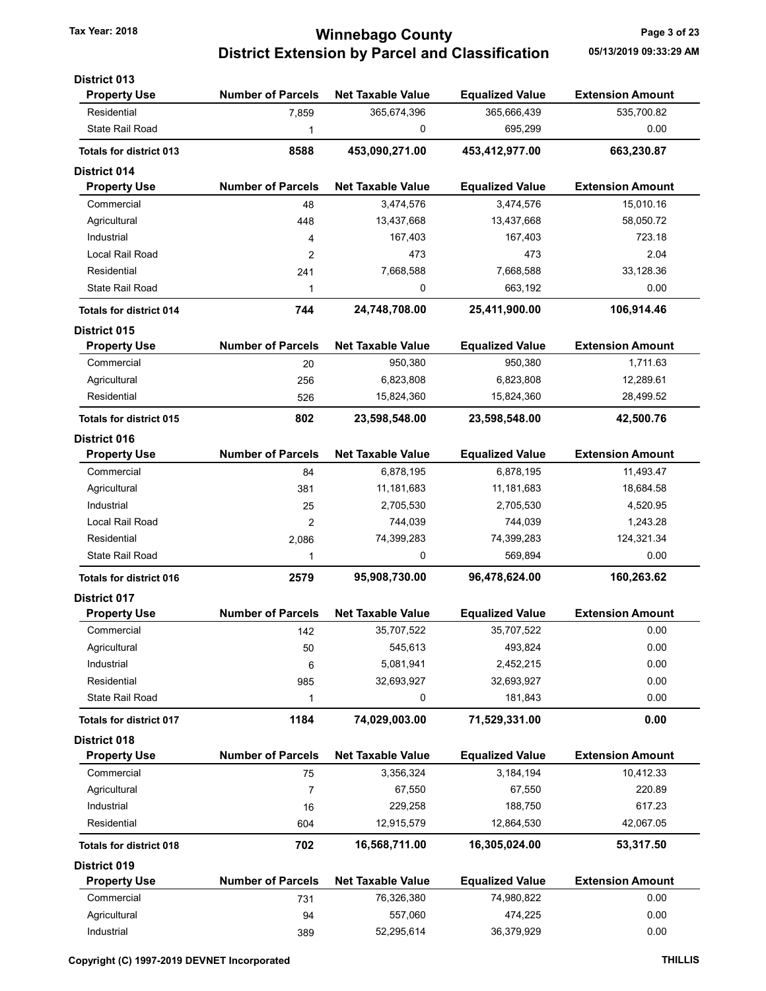### Tax Year: 2018 **Tax Year: 2018** Page 3 of 23 District Extension by Parcel and Classification 05/13/2019 09:33:29 AM

| <b>District 013</b>            |                          |                          |                        |                         |
|--------------------------------|--------------------------|--------------------------|------------------------|-------------------------|
| <b>Property Use</b>            | <b>Number of Parcels</b> | <b>Net Taxable Value</b> | <b>Equalized Value</b> | <b>Extension Amount</b> |
| Residential                    | 7,859                    | 365,674,396              | 365,666,439            | 535,700.82              |
| <b>State Rail Road</b>         | 1                        | 0                        | 695,299                | 0.00                    |
| <b>Totals for district 013</b> | 8588                     | 453,090,271.00           | 453,412,977.00         | 663,230.87              |
| District 014                   |                          |                          |                        |                         |
| <b>Property Use</b>            | <b>Number of Parcels</b> | <b>Net Taxable Value</b> | <b>Equalized Value</b> | <b>Extension Amount</b> |
| Commercial                     | 48                       | 3,474,576                | 3,474,576              | 15,010.16               |
| Agricultural                   | 448                      | 13,437,668               | 13,437,668             | 58,050.72               |
| Industrial                     | 4                        | 167,403                  | 167,403                | 723.18                  |
| Local Rail Road                | 2                        | 473                      | 473                    | 2.04                    |
| Residential                    | 241                      | 7,668,588                | 7,668,588              | 33,128.36               |
| State Rail Road                | 1                        | 0                        | 663,192                | 0.00                    |
| <b>Totals for district 014</b> | 744                      | 24,748,708.00            | 25,411,900.00          | 106,914.46              |
| District 015                   |                          |                          |                        |                         |
| <b>Property Use</b>            | <b>Number of Parcels</b> | <b>Net Taxable Value</b> | <b>Equalized Value</b> | <b>Extension Amount</b> |
| Commercial                     | 20                       | 950,380                  | 950,380                | 1,711.63                |
| Agricultural                   | 256                      | 6,823,808                | 6,823,808              | 12,289.61               |
| Residential                    | 526                      | 15,824,360               | 15,824,360             | 28,499.52               |
| <b>Totals for district 015</b> | 802                      | 23,598,548.00            | 23,598,548.00          | 42,500.76               |
| <b>District 016</b>            |                          |                          |                        |                         |
| <b>Property Use</b>            | <b>Number of Parcels</b> | <b>Net Taxable Value</b> | <b>Equalized Value</b> | <b>Extension Amount</b> |
| Commercial                     | 84                       | 6,878,195                | 6,878,195              | 11,493.47               |
| Agricultural                   | 381                      | 11, 181, 683             | 11, 181, 683           | 18,684.58               |
| Industrial                     | 25                       | 2,705,530                | 2,705,530              | 4,520.95                |
| Local Rail Road                | 2                        | 744,039                  | 744,039                | 1,243.28                |
| Residential                    | 2,086                    | 74,399,283               | 74,399,283             | 124,321.34              |
| State Rail Road                | 1                        | 0                        | 569,894                | 0.00                    |
| <b>Totals for district 016</b> | 2579                     | 95,908,730.00            | 96,478,624.00          | 160,263.62              |
| <b>District 017</b>            |                          |                          |                        |                         |
| <b>Property Use</b>            | <b>Number of Parcels</b> | <b>Net Taxable Value</b> | <b>Equalized Value</b> | <b>Extension Amount</b> |
| Commercial                     | 142                      | 35,707,522               | 35,707,522             | 0.00                    |
| Agricultural                   | 50                       | 545,613                  | 493,824                | 0.00                    |
| Industrial                     | 6                        | 5,081,941                | 2,452,215              | 0.00                    |
| Residential                    | 985                      | 32,693,927               | 32,693,927             | 0.00                    |
| State Rail Road                | 1                        | 0                        | 181,843                | 0.00                    |
| <b>Totals for district 017</b> | 1184                     | 74,029,003.00            | 71,529,331.00          | 0.00                    |
| <b>District 018</b>            |                          |                          |                        |                         |
| <b>Property Use</b>            | <b>Number of Parcels</b> | <b>Net Taxable Value</b> | <b>Equalized Value</b> | <b>Extension Amount</b> |
| Commercial                     | 75                       | 3,356,324                | 3,184,194              | 10,412.33               |
| Agricultural                   | 7                        | 67,550                   | 67,550                 | 220.89                  |
| Industrial                     | 16                       | 229,258                  | 188,750                | 617.23                  |
| Residential                    | 604                      | 12,915,579               | 12,864,530             | 42,067.05               |
| <b>Totals for district 018</b> | 702                      | 16,568,711.00            | 16,305,024.00          | 53,317.50               |
| <b>District 019</b>            |                          |                          |                        |                         |
| <b>Property Use</b>            | <b>Number of Parcels</b> | <b>Net Taxable Value</b> | <b>Equalized Value</b> | <b>Extension Amount</b> |
| Commercial                     | 731                      | 76,326,380               | 74,980,822             | 0.00                    |
| Agricultural                   | 94                       | 557,060                  | 474,225                | 0.00                    |
| Industrial                     | 389                      | 52,295,614               | 36,379,929             | 0.00                    |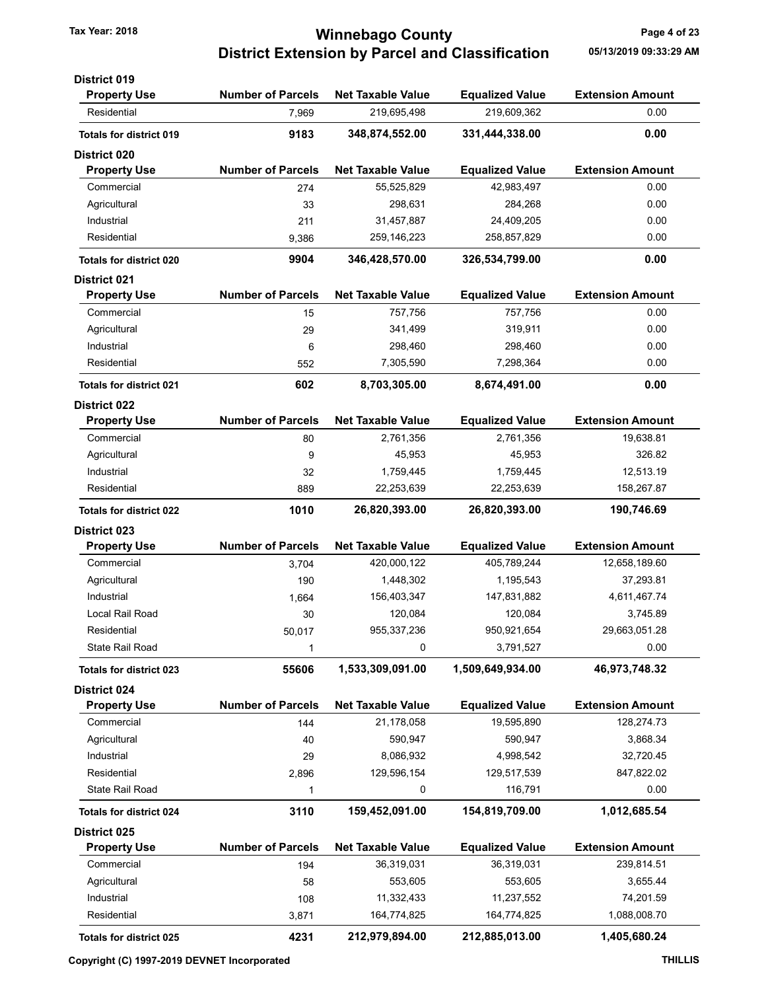### Tax Year: 2018 **Tax Year: 2018** Page 4 of 23 District Extension by Parcel and Classification 05/13/2019 09:33:29 AM

| <b>District 019</b>            |                          |                          |                        |                         |
|--------------------------------|--------------------------|--------------------------|------------------------|-------------------------|
| <b>Property Use</b>            | <b>Number of Parcels</b> | <b>Net Taxable Value</b> | <b>Equalized Value</b> | <b>Extension Amount</b> |
| Residential                    | 7,969                    | 219,695,498              | 219,609,362            | 0.00                    |
| <b>Totals for district 019</b> | 9183                     | 348,874,552.00           | 331,444,338.00         | 0.00                    |
| <b>District 020</b>            |                          |                          |                        |                         |
| <b>Property Use</b>            | <b>Number of Parcels</b> | <b>Net Taxable Value</b> | <b>Equalized Value</b> | <b>Extension Amount</b> |
| Commercial                     | 274                      | 55,525,829               | 42,983,497             | 0.00                    |
| Agricultural                   | 33                       | 298,631                  | 284,268                | 0.00                    |
| Industrial                     | 211                      | 31,457,887               | 24,409,205             | 0.00                    |
| Residential                    | 9,386                    | 259,146,223              | 258,857,829            | 0.00                    |
| <b>Totals for district 020</b> | 9904                     | 346,428,570.00           | 326,534,799.00         | 0.00                    |
| <b>District 021</b>            |                          |                          |                        |                         |
| <b>Property Use</b>            | <b>Number of Parcels</b> | <b>Net Taxable Value</b> | <b>Equalized Value</b> | <b>Extension Amount</b> |
| Commercial                     | 15                       | 757,756                  | 757,756                | 0.00                    |
| Agricultural                   | 29                       | 341,499                  | 319,911                | 0.00                    |
| Industrial                     | 6                        | 298,460                  | 298,460                | 0.00                    |
| Residential                    | 552                      | 7,305,590                | 7,298,364              | 0.00                    |
| <b>Totals for district 021</b> | 602                      | 8,703,305.00             | 8.674.491.00           | 0.00                    |
| <b>District 022</b>            |                          |                          |                        |                         |
| <b>Property Use</b>            | <b>Number of Parcels</b> | <b>Net Taxable Value</b> | <b>Equalized Value</b> | <b>Extension Amount</b> |
| Commercial                     | 80                       | 2,761,356                | 2,761,356              | 19,638.81               |
| Agricultural                   | 9                        | 45,953                   | 45,953                 | 326.82                  |
| Industrial                     | 32                       | 1,759,445                | 1,759,445              | 12,513.19               |
| Residential                    | 889                      | 22,253,639               | 22,253,639             | 158,267.87              |
| <b>Totals for district 022</b> | 1010                     | 26,820,393.00            | 26,820,393.00          | 190,746.69              |
| <b>District 023</b>            |                          |                          |                        |                         |
| <b>Property Use</b>            | <b>Number of Parcels</b> | <b>Net Taxable Value</b> | <b>Equalized Value</b> | <b>Extension Amount</b> |
| Commercial                     | 3,704                    | 420,000,122              | 405,789,244            | 12,658,189.60           |
| Agricultural                   | 190                      | 1,448,302                | 1,195,543              | 37,293.81               |
| Industrial                     | 1,664                    | 156,403,347              | 147,831,882            | 4,611,467.74            |
| Local Rail Road                | 30                       | 120,084                  | 120,084                | 3,745.89                |
| Residential                    | 50,017                   | 955, 337, 236            | 950,921,654            | 29,663,051.28           |
| State Rail Road                | 1                        | 0                        | 3,791,527              | 0.00                    |
| <b>Totals for district 023</b> | 55606                    | 1,533,309,091.00         | 1,509,649,934.00       | 46,973,748.32           |
| District 024                   |                          |                          |                        |                         |
| <b>Property Use</b>            | <b>Number of Parcels</b> | <b>Net Taxable Value</b> | <b>Equalized Value</b> | <b>Extension Amount</b> |
| Commercial                     | 144                      | 21,178,058               | 19,595,890             | 128,274.73              |
| Agricultural                   | 40                       | 590,947                  | 590,947                | 3,868.34                |
| Industrial                     | 29                       | 8,086,932                | 4,998,542              | 32,720.45               |
| Residential                    | 2,896                    | 129,596,154              | 129,517,539            | 847,822.02              |
| <b>State Rail Road</b>         | 1                        | 0                        | 116,791                | 0.00                    |
| <b>Totals for district 024</b> | 3110                     | 159,452,091.00           | 154,819,709.00         | 1,012,685.54            |
| District 025                   |                          |                          |                        |                         |
| <b>Property Use</b>            | <b>Number of Parcels</b> | <b>Net Taxable Value</b> | <b>Equalized Value</b> | <b>Extension Amount</b> |
| Commercial                     | 194                      | 36,319,031               | 36,319,031             | 239,814.51              |
| Agricultural                   | 58                       | 553,605                  | 553,605                | 3,655.44                |
| Industrial                     | 108                      | 11,332,433               | 11,237,552             | 74,201.59               |
| Residential                    | 3,871                    | 164,774,825              | 164,774,825            | 1,088,008.70            |
|                                |                          |                          |                        |                         |
| Totals for district 025        | 4231                     | 212,979,894.00           | 212,885,013.00         | 1,405,680.24            |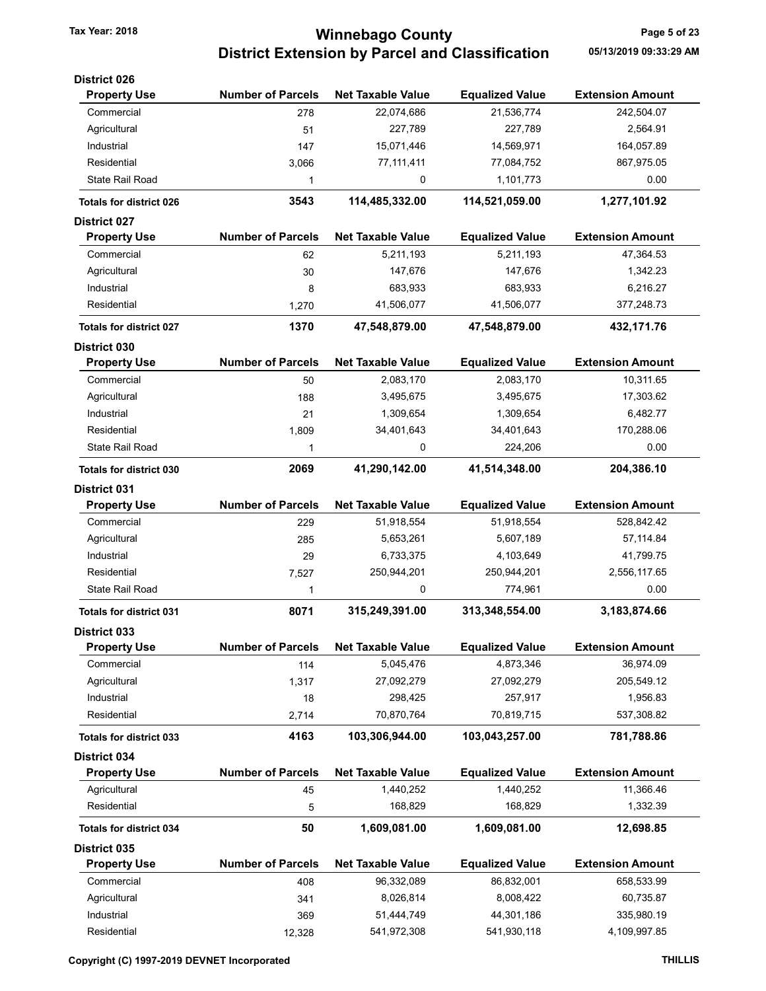# Tax Year: 2018 **Tax Year: 2018** Page 5 of 23 District Extension by Parcel and Classification 05/13/2019 09:33:29 AM

| <b>District 026</b>            |                          |                          |                        |                         |
|--------------------------------|--------------------------|--------------------------|------------------------|-------------------------|
| <b>Property Use</b>            | <b>Number of Parcels</b> | <b>Net Taxable Value</b> | <b>Equalized Value</b> | <b>Extension Amount</b> |
| Commercial                     | 278                      | 22,074,686               | 21,536,774             | 242,504.07              |
| Agricultural                   | 51                       | 227,789                  | 227,789                | 2,564.91                |
| Industrial                     | 147                      | 15,071,446               | 14,569,971             | 164,057.89              |
| Residential                    | 3,066                    | 77, 111, 411             | 77,084,752             | 867,975.05              |
| State Rail Road                | 1                        | 0                        | 1,101,773              | 0.00                    |
| <b>Totals for district 026</b> | 3543                     | 114,485,332.00           | 114,521,059.00         | 1,277,101.92            |
| <b>District 027</b>            |                          |                          |                        |                         |
| <b>Property Use</b>            | <b>Number of Parcels</b> | <b>Net Taxable Value</b> | <b>Equalized Value</b> | <b>Extension Amount</b> |
| Commercial                     | 62                       | 5,211,193                | 5,211,193              | 47,364.53               |
| Agricultural                   | 30                       | 147,676                  | 147,676                | 1,342.23                |
| Industrial                     | 8                        | 683,933                  | 683,933                | 6,216.27                |
| Residential                    | 1,270                    | 41,506,077               | 41,506,077             | 377,248.73              |
| <b>Totals for district 027</b> | 1370                     | 47,548,879.00            | 47,548,879.00          | 432,171.76              |
| District 030                   |                          |                          |                        |                         |
| <b>Property Use</b>            | <b>Number of Parcels</b> | <b>Net Taxable Value</b> | <b>Equalized Value</b> | <b>Extension Amount</b> |
| Commercial                     | 50                       | 2,083,170                | 2,083,170              | 10,311.65               |
| Agricultural                   | 188                      | 3,495,675                | 3,495,675              | 17,303.62               |
| Industrial                     | 21                       | 1,309,654                | 1,309,654              | 6,482.77                |
| Residential                    | 1,809                    | 34,401,643               | 34,401,643             | 170,288.06              |
| <b>State Rail Road</b>         | 1                        | 0                        | 224,206                | 0.00                    |
| <b>Totals for district 030</b> | 2069                     | 41,290,142.00            | 41,514,348.00          | 204,386.10              |
| <b>District 031</b>            |                          |                          |                        |                         |
| <b>Property Use</b>            | <b>Number of Parcels</b> | <b>Net Taxable Value</b> | <b>Equalized Value</b> | <b>Extension Amount</b> |
| Commercial                     | 229                      | 51,918,554               | 51,918,554             | 528,842.42              |
| Agricultural                   | 285                      | 5,653,261                | 5,607,189              | 57,114.84               |
| Industrial                     | 29                       | 6,733,375                | 4,103,649              | 41,799.75               |
| Residential                    | 7,527                    | 250,944,201              | 250,944,201            | 2,556,117.65            |
| State Rail Road                | 1                        | 0                        | 774,961                | 0.00                    |
| <b>Totals for district 031</b> | 8071                     | 315,249,391.00           | 313,348,554.00         | 3,183,874.66            |
| <b>District 033</b>            |                          |                          |                        |                         |
| <b>Property Use</b>            | <b>Number of Parcels</b> | <b>Net Taxable Value</b> | <b>Equalized Value</b> | <b>Extension Amount</b> |
| Commercial                     | 114                      | 5,045,476                | 4,873,346              | 36,974.09               |
| Agricultural                   | 1,317                    | 27,092,279               | 27,092,279             | 205,549.12              |
| Industrial                     | 18                       | 298,425                  | 257,917                | 1,956.83                |
| Residential                    | 2,714                    | 70,870,764               | 70,819,715             | 537,308.82              |
| <b>Totals for district 033</b> | 4163                     | 103.306.944.00           | 103,043,257.00         | 781,788.86              |
| District 034                   |                          |                          |                        |                         |
| <b>Property Use</b>            | <b>Number of Parcels</b> | <b>Net Taxable Value</b> | <b>Equalized Value</b> | <b>Extension Amount</b> |
| Agricultural                   | 45                       | 1,440,252                | 1,440,252              | 11,366.46               |
| Residential                    | 5                        | 168,829                  | 168,829                | 1,332.39                |
| Totals for district 034        | 50                       | 1,609,081.00             | 1,609,081.00           | 12,698.85               |
| District 035                   |                          |                          |                        |                         |
| <b>Property Use</b>            | <b>Number of Parcels</b> | <b>Net Taxable Value</b> | <b>Equalized Value</b> | <b>Extension Amount</b> |
| Commercial                     | 408                      | 96,332,089               | 86,832,001             | 658,533.99              |
| Agricultural                   | 341                      | 8,026,814                | 8,008,422              | 60,735.87               |
| Industrial                     | 369                      | 51,444,749               | 44,301,186             | 335,980.19              |
| Residential                    | 12,328                   | 541,972,308              | 541,930,118            | 4,109,997.85            |
|                                |                          |                          |                        |                         |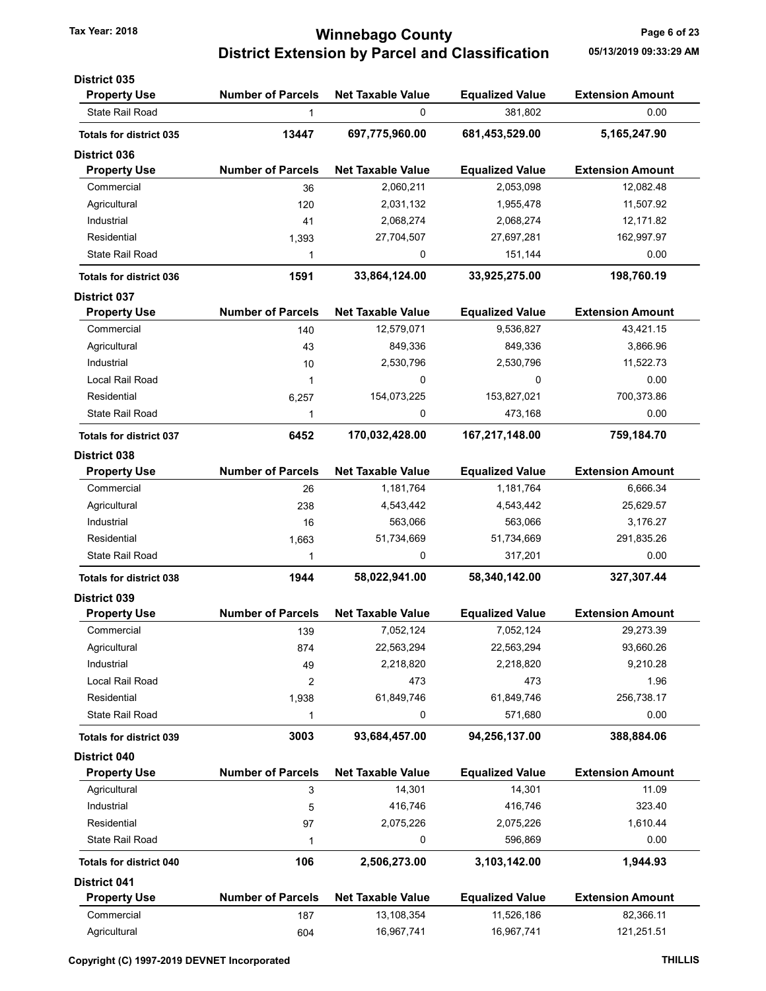# Tax Year: 2018 **Tax Year: 2018** Page 6 of 23 District Extension by Parcel and Classification 05/13/2019 09:33:29 AM

| <b>District 035</b>            |                          |                          |                        |                         |
|--------------------------------|--------------------------|--------------------------|------------------------|-------------------------|
| <b>Property Use</b>            | <b>Number of Parcels</b> | <b>Net Taxable Value</b> | <b>Equalized Value</b> | <b>Extension Amount</b> |
| <b>State Rail Road</b>         | 1                        | 0                        | 381,802                | 0.00                    |
| <b>Totals for district 035</b> | 13447                    | 697,775,960.00           | 681,453,529.00         | 5,165,247.90            |
| <b>District 036</b>            |                          |                          |                        |                         |
| <b>Property Use</b>            | <b>Number of Parcels</b> | <b>Net Taxable Value</b> | <b>Equalized Value</b> | <b>Extension Amount</b> |
| Commercial                     | 36                       | 2,060,211                | 2,053,098              | 12,082.48               |
| Agricultural                   | 120                      | 2,031,132                | 1,955,478              | 11,507.92               |
| Industrial                     | 41                       | 2,068,274                | 2,068,274              | 12,171.82               |
| Residential                    | 1,393                    | 27,704,507               | 27,697,281             | 162,997.97              |
| <b>State Rail Road</b>         | 1                        | 0                        | 151,144                | 0.00                    |
| <b>Totals for district 036</b> | 1591                     | 33,864,124.00            | 33,925,275.00          | 198,760.19              |
| <b>District 037</b>            |                          |                          |                        |                         |
| <b>Property Use</b>            | <b>Number of Parcels</b> | <b>Net Taxable Value</b> | <b>Equalized Value</b> | <b>Extension Amount</b> |
| Commercial                     | 140                      | 12,579,071               | 9,536,827              | 43,421.15               |
| Agricultural                   | 43                       | 849,336                  | 849,336                | 3,866.96                |
| Industrial                     | 10                       | 2,530,796                | 2,530,796              | 11,522.73               |
| Local Rail Road                | 1                        | 0                        | 0                      | 0.00                    |
| Residential                    | 6,257                    | 154,073,225              | 153,827,021            | 700,373.86              |
| <b>State Rail Road</b>         | 1                        | 0                        | 473,168                | 0.00                    |
| <b>Totals for district 037</b> | 6452                     | 170,032,428.00           | 167,217,148.00         | 759,184.70              |
| District 038                   |                          |                          |                        |                         |
| <b>Property Use</b>            | <b>Number of Parcels</b> | <b>Net Taxable Value</b> | <b>Equalized Value</b> | <b>Extension Amount</b> |
| Commercial                     | 26                       | 1,181,764                | 1,181,764              | 6,666.34                |
| Agricultural                   | 238                      | 4,543,442                | 4,543,442              | 25,629.57               |
| Industrial                     | 16                       | 563,066                  | 563,066                | 3,176.27                |
| Residential                    | 1,663                    | 51,734,669               | 51,734,669             | 291,835.26              |
| <b>State Rail Road</b>         | 1                        | 0                        | 317,201                | 0.00                    |
| <b>Totals for district 038</b> | 1944                     | 58,022,941.00            | 58,340,142.00          | 327,307.44              |
| <b>District 039</b>            |                          |                          |                        |                         |
| <b>Property Use</b>            | <b>Number of Parcels</b> | <b>Net Taxable Value</b> | <b>Equalized Value</b> | <b>Extension Amount</b> |
| Commercial                     | 139                      | 7,052,124                | 7,052,124              | 29,273.39               |
| Agricultural                   | 874                      | 22,563,294               | 22,563,294             | 93,660.26               |
| Industrial                     | 49                       | 2,218,820                | 2,218,820              | 9,210.28                |
| <b>Local Rail Road</b>         | $\overline{2}$           | 473                      | 473                    | 1.96                    |
| Residential                    | 1,938                    | 61,849,746               | 61,849,746             | 256,738.17              |
| <b>State Rail Road</b>         | 1                        | 0                        | 571,680                | 0.00                    |
| <b>Totals for district 039</b> | 3003                     | 93,684,457.00            | 94,256,137.00          | 388,884.06              |
| District 040                   |                          |                          |                        |                         |
| <b>Property Use</b>            | <b>Number of Parcels</b> | <b>Net Taxable Value</b> | <b>Equalized Value</b> | <b>Extension Amount</b> |
| Agricultural                   | 3                        | 14,301                   | 14,301                 | 11.09                   |
| Industrial                     | 5                        | 416,746                  | 416,746                | 323.40                  |
| Residential                    | 97                       | 2,075,226                | 2,075,226              | 1,610.44                |
| State Rail Road                | 1                        | 0                        | 596,869                | 0.00                    |
| <b>Totals for district 040</b> | 106                      | 2,506,273.00             | 3,103,142.00           | 1,944.93                |
| <b>District 041</b>            |                          |                          |                        |                         |
| <b>Property Use</b>            | <b>Number of Parcels</b> | <b>Net Taxable Value</b> | <b>Equalized Value</b> | <b>Extension Amount</b> |
| Commercial                     | 187                      | 13,108,354               | 11,526,186             | 82,366.11               |
| Agricultural                   | 604                      | 16,967,741               | 16,967,741             | 121,251.51              |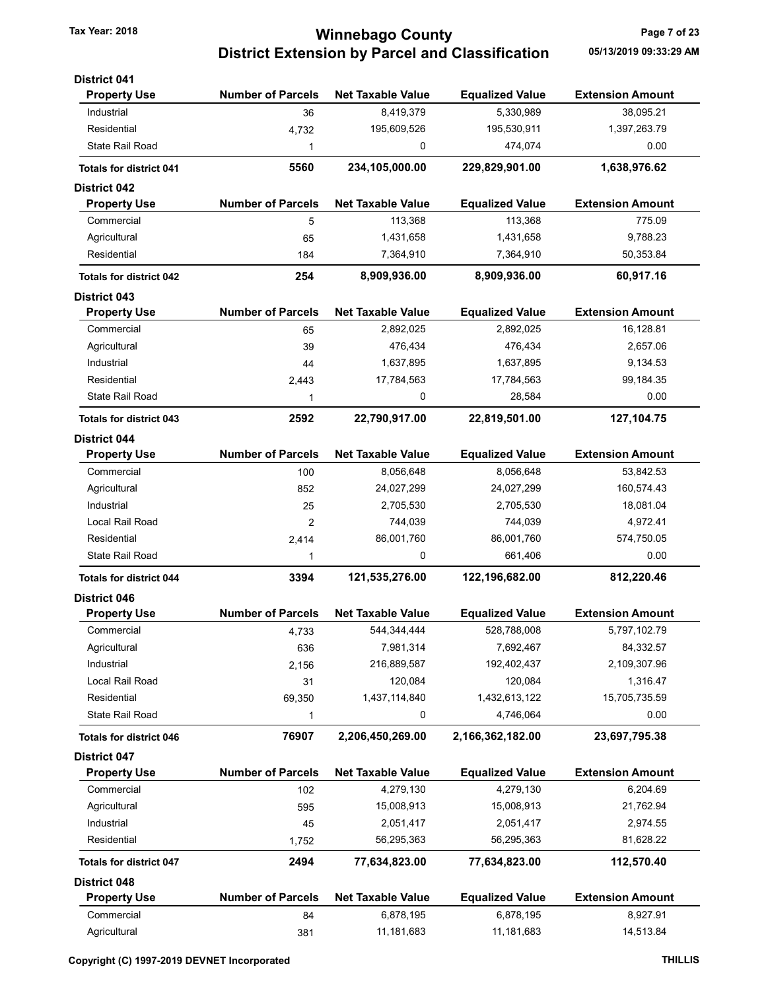### Tax Year: 2018 **Tax Year: 2018** Page 7 of 23 District Extension by Parcel and Classification 05/13/2019 09:33:29 AM

| <b>District 041</b>                        |                          |                          |                        |                         |
|--------------------------------------------|--------------------------|--------------------------|------------------------|-------------------------|
| <b>Property Use</b>                        | <b>Number of Parcels</b> | <b>Net Taxable Value</b> | <b>Equalized Value</b> | <b>Extension Amount</b> |
| Industrial                                 | 36                       | 8,419,379                | 5,330,989              | 38,095.21               |
| Residential                                | 4,732                    | 195,609,526              | 195,530,911            | 1,397,263.79            |
| State Rail Road                            | 1                        | 0                        | 474,074                | 0.00                    |
| <b>Totals for district 041</b>             | 5560                     | 234,105,000.00           | 229,829,901.00         | 1,638,976.62            |
| <b>District 042</b>                        |                          |                          |                        |                         |
| <b>Property Use</b>                        | <b>Number of Parcels</b> | <b>Net Taxable Value</b> | <b>Equalized Value</b> | <b>Extension Amount</b> |
| Commercial                                 | 5                        | 113,368                  | 113,368                | 775.09                  |
| Agricultural                               | 65                       | 1,431,658                | 1,431,658              | 9,788.23                |
| Residential                                | 184                      | 7,364,910                | 7,364,910              | 50,353.84               |
| <b>Totals for district 042</b>             | 254                      | 8,909,936.00             | 8,909,936.00           | 60,917.16               |
| <b>District 043</b>                        |                          |                          |                        |                         |
| <b>Property Use</b>                        | <b>Number of Parcels</b> | <b>Net Taxable Value</b> | <b>Equalized Value</b> | <b>Extension Amount</b> |
| Commercial                                 | 65                       | 2,892,025                | 2,892,025              | 16,128.81               |
| Agricultural                               | 39                       | 476,434                  | 476,434                | 2,657.06                |
| Industrial                                 | 44                       | 1,637,895                | 1,637,895              | 9,134.53                |
| Residential                                | 2,443                    | 17,784,563               | 17,784,563             | 99,184.35               |
| State Rail Road                            | 1                        | 0                        | 28,584                 | 0.00                    |
| <b>Totals for district 043</b>             | 2592                     | 22,790,917.00            | 22,819,501.00          | 127,104.75              |
| <b>District 044</b>                        |                          |                          |                        |                         |
| <b>Property Use</b>                        | <b>Number of Parcels</b> | <b>Net Taxable Value</b> | <b>Equalized Value</b> | <b>Extension Amount</b> |
| Commercial                                 | 100                      | 8,056,648                | 8,056,648              | 53,842.53               |
| Agricultural                               | 852                      | 24,027,299               | 24,027,299             | 160,574.43              |
| Industrial                                 | 25                       | 2,705,530                | 2,705,530              | 18,081.04               |
| Local Rail Road                            | 2                        | 744,039                  | 744,039                | 4,972.41                |
| Residential                                | 2,414                    | 86,001,760               | 86,001,760             | 574,750.05              |
| State Rail Road                            | 1                        | 0                        | 661,406                | 0.00                    |
| <b>Totals for district 044</b>             | 3394                     | 121,535,276.00           | 122,196,682.00         | 812,220.46              |
| <b>District 046</b>                        |                          |                          |                        |                         |
| <b>Property Use</b>                        | <b>Number of Parcels</b> | <b>Net Taxable Value</b> | <b>Equalized Value</b> | <b>Extension Amount</b> |
| Commercial                                 | 4,733                    | 544, 344, 444            | 528,788,008            | 5,797,102.79            |
| Agricultural                               | 636                      | 7,981,314                | 7,692,467              | 84,332.57               |
| Industrial                                 | 2,156                    | 216,889,587              | 192,402,437            | 2,109,307.96            |
| Local Rail Road                            | 31                       | 120,084                  | 120,084                | 1,316.47                |
| Residential                                | 69,350                   | 1,437,114,840            | 1,432,613,122          | 15,705,735.59           |
| State Rail Road                            | 1                        | 0                        | 4,746,064              | 0.00                    |
| <b>Totals for district 046</b>             | 76907                    | 2,206,450,269.00         | 2,166,362,182.00       | 23,697,795.38           |
| <b>District 047</b>                        |                          |                          |                        |                         |
| <b>Property Use</b>                        | <b>Number of Parcels</b> | <b>Net Taxable Value</b> | <b>Equalized Value</b> | <b>Extension Amount</b> |
| Commercial                                 | 102                      | 4,279,130                | 4,279,130              | 6,204.69                |
| Agricultural                               | 595                      | 15,008,913               | 15,008,913             | 21,762.94               |
| Industrial                                 | 45                       | 2,051,417                | 2,051,417              | 2,974.55                |
| Residential                                | 1,752                    | 56,295,363               | 56,295,363             | 81,628.22               |
| <b>Totals for district 047</b>             | 2494                     | 77,634,823.00            | 77,634,823.00          | 112,570.40              |
|                                            |                          |                          |                        |                         |
| <b>District 048</b><br><b>Property Use</b> | <b>Number of Parcels</b> | <b>Net Taxable Value</b> | <b>Equalized Value</b> | <b>Extension Amount</b> |
| Commercial                                 | 84                       | 6,878,195                | 6,878,195              | 8,927.91                |
| Agricultural                               | 381                      | 11,181,683               | 11,181,683             | 14,513.84               |
|                                            |                          |                          |                        |                         |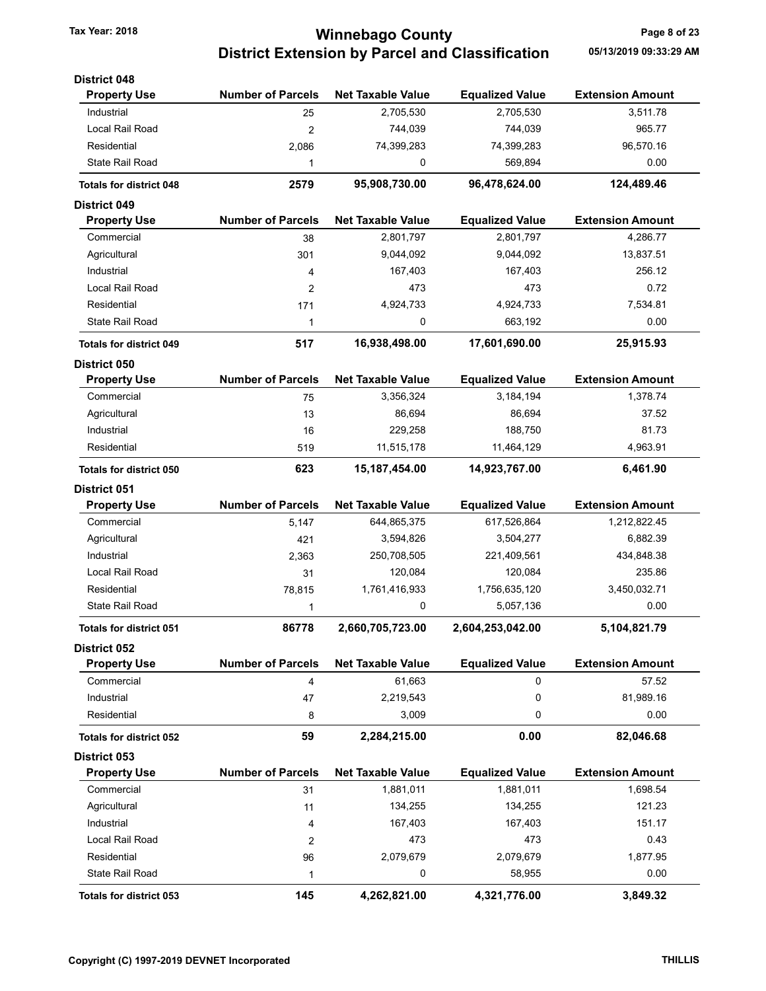# Tax Year: 2018 **Tax Year: 2018** Page 8 of 23 District Extension by Parcel and Classification 05/13/2019 09:33:29 AM

| <b>District 048</b>            |                          |                          |                        |                         |
|--------------------------------|--------------------------|--------------------------|------------------------|-------------------------|
| <b>Property Use</b>            | <b>Number of Parcels</b> | <b>Net Taxable Value</b> | <b>Equalized Value</b> | <b>Extension Amount</b> |
| Industrial                     | 25                       | 2,705,530                | 2,705,530              | 3,511.78                |
| Local Rail Road                | $\overline{2}$           | 744,039                  | 744,039                | 965.77                  |
| Residential                    | 2,086                    | 74,399,283               | 74,399,283             | 96,570.16               |
| <b>State Rail Road</b>         | 1                        | 0                        | 569,894                | 0.00                    |
| <b>Totals for district 048</b> | 2579                     | 95,908,730.00            | 96,478,624.00          | 124,489.46              |
| <b>District 049</b>            |                          |                          |                        |                         |
| <b>Property Use</b>            | <b>Number of Parcels</b> | <b>Net Taxable Value</b> | <b>Equalized Value</b> | <b>Extension Amount</b> |
| Commercial                     | 38                       | 2,801,797                | 2,801,797              | 4,286.77                |
| Agricultural                   | 301                      | 9,044,092                | 9,044,092              | 13,837.51               |
| Industrial                     | 4                        | 167,403                  | 167,403                | 256.12                  |
| Local Rail Road                | $\overline{2}$           | 473                      | 473                    | 0.72                    |
| Residential                    | 171                      | 4,924,733                | 4,924,733              | 7,534.81                |
| <b>State Rail Road</b>         | $\mathbf{1}$             | 0                        | 663,192                | 0.00                    |
| <b>Totals for district 049</b> | 517                      | 16,938,498.00            | 17,601,690.00          | 25,915.93               |
| <b>District 050</b>            |                          |                          |                        |                         |
| <b>Property Use</b>            | <b>Number of Parcels</b> | <b>Net Taxable Value</b> | <b>Equalized Value</b> | <b>Extension Amount</b> |
| Commercial                     | 75                       | 3,356,324                | 3,184,194              | 1,378.74                |
| Agricultural                   | 13                       | 86,694                   | 86,694                 | 37.52                   |
| Industrial                     | 16                       | 229,258                  | 188,750                | 81.73                   |
| Residential                    | 519                      | 11,515,178               | 11,464,129             | 4,963.91                |
| <b>Totals for district 050</b> | 623                      | 15, 187, 454.00          | 14,923,767.00          | 6,461.90                |
| <b>District 051</b>            |                          |                          |                        |                         |
| <b>Property Use</b>            | <b>Number of Parcels</b> | <b>Net Taxable Value</b> | <b>Equalized Value</b> | <b>Extension Amount</b> |
| Commercial                     | 5,147                    | 644,865,375              | 617,526,864            | 1,212,822.45            |
| Agricultural                   | 421                      | 3,594,826                | 3,504,277              | 6,882.39                |
| Industrial                     | 2,363                    | 250,708,505              | 221,409,561            | 434,848.38              |
| Local Rail Road                | 31                       | 120,084                  | 120,084                | 235.86                  |
| Residential                    | 78,815                   | 1,761,416,933            | 1,756,635,120          | 3,450,032.71            |
| <b>State Rail Road</b>         | 1                        | 0                        | 5,057,136              | 0.00                    |
| <b>Totals for district 051</b> | 86778                    | 2,660,705,723.00         | 2,604,253,042.00       | 5,104,821.79            |
| District 052                   |                          |                          |                        |                         |
| <b>Property Use</b>            | <b>Number of Parcels</b> | <b>Net Taxable Value</b> | <b>Equalized Value</b> | <b>Extension Amount</b> |
| Commercial                     | 4                        | 61,663                   | 0                      | 57.52                   |
| Industrial                     | 47                       | 2,219,543                | 0                      | 81,989.16               |
| Residential                    | 8                        | 3,009                    | 0                      | 0.00                    |
| <b>Totals for district 052</b> | 59                       | 2,284,215.00             | 0.00                   | 82,046.68               |
| District 053                   |                          |                          |                        |                         |
| <b>Property Use</b>            | <b>Number of Parcels</b> | <b>Net Taxable Value</b> | <b>Equalized Value</b> | <b>Extension Amount</b> |
| Commercial                     | 31                       | 1,881,011                | 1,881,011              | 1,698.54                |
| Agricultural                   | 11                       | 134,255                  | 134,255                | 121.23                  |
| Industrial                     | 4                        | 167,403                  | 167,403                | 151.17                  |
| Local Rail Road                | 2                        | 473                      | 473                    | 0.43                    |
| Residential                    | 96                       | 2,079,679                | 2,079,679              | 1,877.95                |
| <b>State Rail Road</b>         | 1                        | 0                        | 58,955                 | 0.00                    |
| <b>Totals for district 053</b> | 145                      | 4,262,821.00             | 4,321,776.00           | 3,849.32                |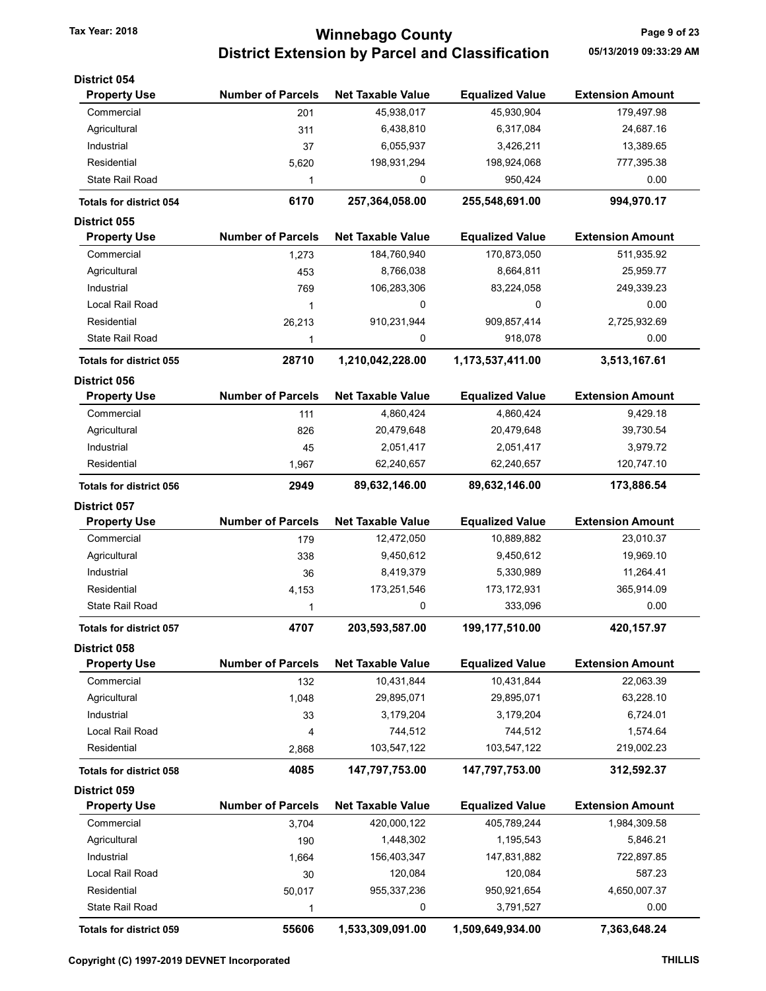# Tax Year: 2018 **Tax Year: 2018** Page 9 of 23 District Extension by Parcel and Classification 05/13/2019 09:33:29 AM

| <b>District 054</b>            |                          |                          |                        |                         |
|--------------------------------|--------------------------|--------------------------|------------------------|-------------------------|
| <b>Property Use</b>            | <b>Number of Parcels</b> | <b>Net Taxable Value</b> | <b>Equalized Value</b> | <b>Extension Amount</b> |
| Commercial                     | 201                      | 45,938,017               | 45,930,904             | 179,497.98              |
| Agricultural                   | 311                      | 6,438,810                | 6,317,084              | 24,687.16               |
| Industrial                     | 37                       | 6,055,937                | 3,426,211              | 13,389.65               |
| Residential                    | 5,620                    | 198,931,294              | 198,924,068            | 777,395.38              |
| <b>State Rail Road</b>         | 1                        | 0                        | 950,424                | 0.00                    |
| <b>Totals for district 054</b> | 6170                     | 257,364,058.00           | 255,548,691.00         | 994,970.17              |
| <b>District 055</b>            |                          |                          |                        |                         |
| <b>Property Use</b>            | <b>Number of Parcels</b> | <b>Net Taxable Value</b> | <b>Equalized Value</b> | <b>Extension Amount</b> |
| Commercial                     | 1,273                    | 184,760,940              | 170,873,050            | 511,935.92              |
| Agricultural                   | 453                      | 8,766,038                | 8,664,811              | 25,959.77               |
| Industrial                     | 769                      | 106,283,306              | 83,224,058             | 249,339.23              |
| Local Rail Road                | 1                        | 0                        | 0                      | 0.00                    |
| Residential                    | 26,213                   | 910,231,944              | 909,857,414            | 2,725,932.69            |
| <b>State Rail Road</b>         | 1                        | 0                        | 918,078                | 0.00                    |
| <b>Totals for district 055</b> | 28710                    | 1,210,042,228.00         | 1,173,537,411.00       | 3,513,167.61            |
| <b>District 056</b>            |                          |                          |                        |                         |
| <b>Property Use</b>            | <b>Number of Parcels</b> | <b>Net Taxable Value</b> | <b>Equalized Value</b> | <b>Extension Amount</b> |
| Commercial                     | 111                      | 4,860,424                | 4,860,424              | 9,429.18                |
| Agricultural                   | 826                      | 20,479,648               | 20,479,648             | 39,730.54               |
| Industrial                     | 45                       | 2,051,417                | 2,051,417              | 3,979.72                |
| Residential                    | 1,967                    | 62,240,657               | 62,240,657             | 120,747.10              |
| <b>Totals for district 056</b> | 2949                     | 89,632,146.00            | 89,632,146.00          | 173,886.54              |
| <b>District 057</b>            |                          |                          |                        |                         |
| <b>Property Use</b>            | <b>Number of Parcels</b> | <b>Net Taxable Value</b> | <b>Equalized Value</b> | <b>Extension Amount</b> |
| Commercial                     | 179                      | 12,472,050               | 10,889,882             | 23,010.37               |
| Agricultural                   | 338                      | 9,450,612                | 9,450,612              | 19,969.10               |
| Industrial                     | 36                       | 8,419,379                | 5,330,989              | 11,264.41               |
| Residential                    | 4,153                    | 173,251,546              | 173, 172, 931          | 365,914.09              |
| <b>State Rail Road</b>         | 1                        | 0                        | 333,096                | 0.00                    |
| <b>Totals for district 057</b> | 4707                     | 203,593,587.00           | 199,177,510.00         | 420,157.97              |
| District 058                   |                          |                          |                        |                         |
| <b>Property Use</b>            | <b>Number of Parcels</b> | <b>Net Taxable Value</b> | <b>Equalized Value</b> | <b>Extension Amount</b> |
| Commercial                     | 132                      | 10,431,844               | 10,431,844             | 22,063.39               |
| Agricultural                   | 1,048                    | 29,895,071               | 29,895,071             | 63,228.10               |
| Industrial                     | 33                       | 3,179,204                | 3,179,204              | 6,724.01                |
| Local Rail Road                | 4                        | 744,512                  | 744,512                | 1,574.64                |
| Residential                    | 2,868                    | 103,547,122              | 103,547,122            | 219,002.23              |
| <b>Totals for district 058</b> | 4085                     | 147,797,753.00           | 147,797,753.00         | 312,592.37              |
| District 059                   |                          |                          |                        |                         |
| <b>Property Use</b>            | <b>Number of Parcels</b> | <b>Net Taxable Value</b> | <b>Equalized Value</b> | <b>Extension Amount</b> |
| Commercial                     | 3,704                    | 420,000,122              | 405,789,244            | 1,984,309.58            |
| Agricultural                   | 190                      | 1,448,302                | 1,195,543              | 5,846.21                |
| Industrial                     | 1,664                    | 156,403,347              | 147,831,882            | 722,897.85              |
| Local Rail Road                | 30                       | 120,084                  | 120,084                | 587.23                  |
| Residential                    | 50,017                   | 955, 337, 236            | 950,921,654            | 4,650,007.37            |
| State Rail Road                | 1                        | 0                        | 3,791,527              | 0.00                    |
|                                |                          |                          |                        |                         |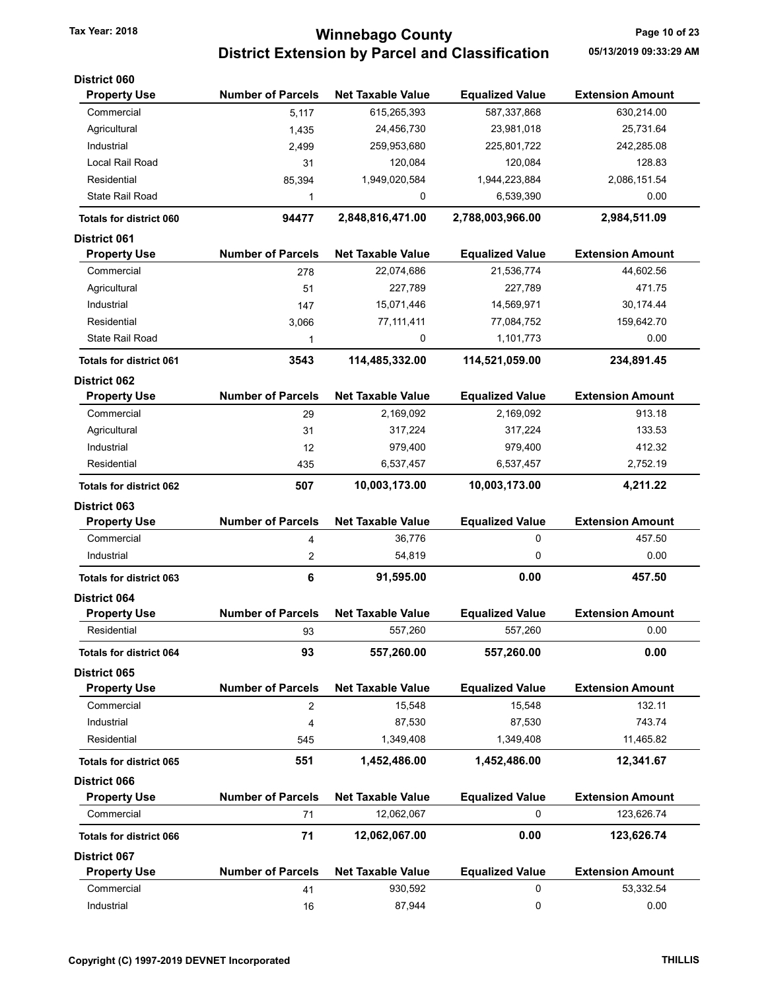# Tax Year: 2018 **Tax Year: 2018 Tax Year: 2018** Page 10 of 23 District Extension by Parcel and Classification 05/13/2019 09:33:29 AM

| <b>District 060</b>                        |                          |                          |                        |                         |
|--------------------------------------------|--------------------------|--------------------------|------------------------|-------------------------|
| <b>Property Use</b>                        | <b>Number of Parcels</b> | <b>Net Taxable Value</b> | <b>Equalized Value</b> | <b>Extension Amount</b> |
| Commercial                                 | 5,117                    | 615,265,393              | 587,337,868            | 630,214.00              |
| Agricultural                               | 1,435                    | 24,456,730               | 23,981,018             | 25,731.64               |
| Industrial                                 | 2,499                    | 259,953,680              | 225,801,722            | 242,285.08              |
| Local Rail Road                            | 31                       | 120,084                  | 120,084                | 128.83                  |
| Residential                                | 85,394                   | 1,949,020,584            | 1,944,223,884          | 2,086,151.54            |
| <b>State Rail Road</b>                     | 1                        | 0                        | 6,539,390              | 0.00                    |
| <b>Totals for district 060</b>             | 94477                    | 2,848,816,471.00         | 2,788,003,966.00       | 2,984,511.09            |
| <b>District 061</b>                        |                          |                          |                        |                         |
| <b>Property Use</b>                        | <b>Number of Parcels</b> | <b>Net Taxable Value</b> | <b>Equalized Value</b> | <b>Extension Amount</b> |
| Commercial                                 | 278                      | 22,074,686               | 21,536,774             | 44,602.56               |
| Agricultural                               | 51                       | 227,789                  | 227,789                | 471.75                  |
| Industrial                                 | 147                      | 15,071,446               | 14,569,971             | 30,174.44               |
| Residential                                | 3,066                    | 77, 111, 411             | 77,084,752             | 159,642.70              |
| State Rail Road                            | 1                        | 0                        | 1,101,773              | 0.00                    |
|                                            |                          |                          |                        |                         |
| <b>Totals for district 061</b>             | 3543                     | 114,485,332.00           | 114,521,059.00         | 234,891.45              |
| <b>District 062</b><br><b>Property Use</b> | <b>Number of Parcels</b> | <b>Net Taxable Value</b> | <b>Equalized Value</b> | <b>Extension Amount</b> |
| Commercial                                 | 29                       | 2,169,092                | 2,169,092              | 913.18                  |
| Agricultural                               | 31                       | 317,224                  | 317,224                | 133.53                  |
| Industrial                                 | 12                       | 979,400                  | 979,400                | 412.32                  |
| Residential                                |                          | 6,537,457                | 6,537,457              | 2,752.19                |
|                                            | 435                      |                          |                        |                         |
| <b>Totals for district 062</b>             | 507                      | 10,003,173.00            | 10,003,173.00          | 4,211.22                |
| <b>District 063</b>                        |                          |                          |                        |                         |
| <b>Property Use</b>                        | <b>Number of Parcels</b> | <b>Net Taxable Value</b> | <b>Equalized Value</b> | <b>Extension Amount</b> |
| Commercial                                 | 4                        | 36,776                   | 0                      | 457.50                  |
| Industrial                                 | 2                        | 54,819                   | 0                      | 0.00                    |
| <b>Totals for district 063</b>             | 6                        | 91,595.00                | 0.00                   | 457.50                  |
| <b>District 064</b>                        |                          |                          |                        |                         |
| <b>Property Use</b>                        | <b>Number of Parcels</b> | <b>Net Taxable Value</b> | <b>Equalized Value</b> | <b>Extension Amount</b> |
| Residential                                | 93                       | 557,260                  | 557,260                | 0.00                    |
| <b>Totals for district 064</b>             | 93                       | 557,260.00               | 557,260.00             | 0.00                    |
| <b>District 065</b>                        |                          |                          |                        |                         |
| <b>Property Use</b>                        | <b>Number of Parcels</b> | <b>Net Taxable Value</b> | <b>Equalized Value</b> | <b>Extension Amount</b> |
| Commercial                                 | 2                        | 15,548                   | 15,548                 | 132.11                  |
| Industrial                                 | 4                        | 87,530                   | 87,530                 | 743.74                  |
| Residential                                | 545                      | 1,349,408                | 1,349,408              | 11,465.82               |
| <b>Totals for district 065</b>             | 551                      | 1,452,486.00             | 1,452,486.00           | 12,341.67               |
| District 066                               |                          |                          |                        |                         |
| <b>Property Use</b>                        | <b>Number of Parcels</b> | <b>Net Taxable Value</b> | <b>Equalized Value</b> | <b>Extension Amount</b> |
| Commercial                                 | 71                       | 12,062,067               | 0                      | 123,626.74              |
| <b>Totals for district 066</b>             | 71                       | 12,062,067.00            | 0.00                   | 123,626.74              |
| <b>District 067</b>                        |                          |                          |                        |                         |
| <b>Property Use</b>                        | <b>Number of Parcels</b> | <b>Net Taxable Value</b> | <b>Equalized Value</b> | <b>Extension Amount</b> |
| Commercial                                 | 41                       | 930,592                  | 0                      | 53,332.54               |
| Industrial                                 |                          | 87,944                   | 0                      | 0.00                    |
|                                            | 16                       |                          |                        |                         |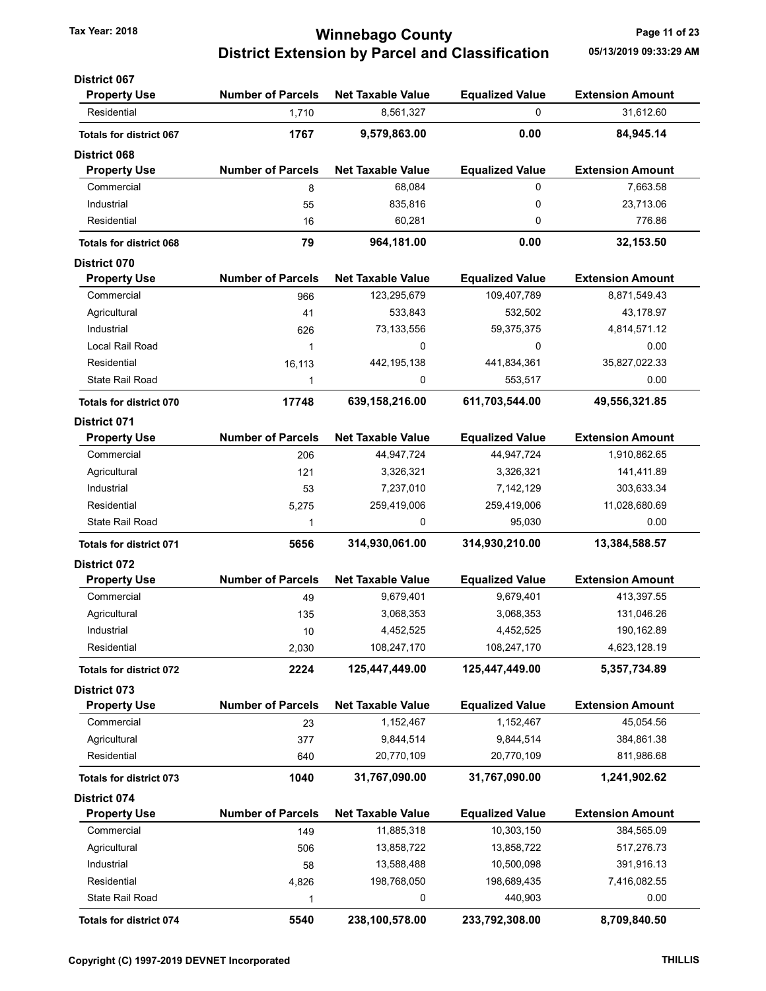### Tax Year: 2018 **Tax Year: 2018** Page 11 of 23 District Extension by Parcel and Classification 05/13/2019 09:33:29 AM

| <b>District 067</b>                 |                          |                          |                        |                         |
|-------------------------------------|--------------------------|--------------------------|------------------------|-------------------------|
| <b>Property Use</b>                 | <b>Number of Parcels</b> | <b>Net Taxable Value</b> | <b>Equalized Value</b> | <b>Extension Amount</b> |
| Residential                         | 1,710                    | 8,561,327                | 0                      | 31,612.60               |
| <b>Totals for district 067</b>      | 1767                     | 9,579,863.00             | 0.00                   | 84,945.14               |
| <b>District 068</b>                 |                          |                          |                        |                         |
| <b>Property Use</b>                 | <b>Number of Parcels</b> | <b>Net Taxable Value</b> | <b>Equalized Value</b> | <b>Extension Amount</b> |
| Commercial                          | 8                        | 68,084                   | 0                      | 7,663.58                |
| Industrial                          | 55                       | 835,816                  | 0                      | 23,713.06               |
| Residential                         | 16                       | 60,281                   | 0                      | 776.86                  |
| <b>Totals for district 068</b>      | 79                       | 964,181.00               | 0.00                   | 32,153.50               |
| <b>District 070</b>                 |                          |                          |                        |                         |
| <b>Property Use</b>                 | <b>Number of Parcels</b> | <b>Net Taxable Value</b> | <b>Equalized Value</b> | <b>Extension Amount</b> |
| Commercial                          | 966                      | 123,295,679              | 109,407,789            | 8,871,549.43            |
| Agricultural                        | 41                       | 533,843                  | 532,502                | 43,178.97               |
| Industrial                          | 626                      | 73,133,556               | 59,375,375             | 4,814,571.12            |
| Local Rail Road                     | 1                        | 0                        | 0                      | 0.00                    |
| Residential                         | 16,113                   | 442, 195, 138            | 441,834,361            | 35,827,022.33           |
| State Rail Road                     | 1                        | 0                        | 553,517                | 0.00                    |
| <b>Totals for district 070</b>      | 17748                    | 639,158,216.00           | 611,703,544.00         | 49,556,321.85           |
| <b>District 071</b>                 |                          |                          |                        |                         |
| <b>Property Use</b>                 | <b>Number of Parcels</b> | <b>Net Taxable Value</b> | <b>Equalized Value</b> | <b>Extension Amount</b> |
| Commercial                          | 206                      | 44,947,724               | 44,947,724             | 1,910,862.65            |
| Agricultural                        | 121                      | 3,326,321                | 3,326,321              | 141,411.89              |
| Industrial                          | 53                       | 7,237,010                | 7,142,129              | 303,633.34              |
| Residential                         | 5,275                    | 259,419,006              | 259,419,006            | 11,028,680.69           |
| <b>State Rail Road</b>              | 1                        | 0                        | 95,030                 | 0.00                    |
| <b>Totals for district 071</b>      | 5656                     | 314,930,061.00           | 314,930,210.00         | 13,384,588.57           |
| <b>District 072</b>                 |                          |                          |                        |                         |
| <b>Property Use</b>                 | <b>Number of Parcels</b> | <b>Net Taxable Value</b> | <b>Equalized Value</b> | <b>Extension Amount</b> |
| Commercial                          | 49                       | 9,679,401                | 9,679,401              | 413,397.55              |
| Agricultural                        | 135                      | 3,068,353                | 3,068,353              | 131,046.26              |
| Industrial                          | 10                       | 4,452,525                | 4,452,525              | 190,162.89              |
| Residential                         | 2,030                    | 108,247,170              | 108,247,170            | 4,623,128.19            |
|                                     | 2224                     | 125,447,449.00           | 125,447,449.00         | 5,357,734.89            |
| <b>Totals for district 072</b>      |                          |                          |                        |                         |
| District 073<br><b>Property Use</b> | <b>Number of Parcels</b> | <b>Net Taxable Value</b> | <b>Equalized Value</b> | <b>Extension Amount</b> |
| Commercial                          |                          | 1,152,467                | 1,152,467              | 45,054.56               |
|                                     | 23                       |                          |                        |                         |
| Agricultural                        | 377                      | 9,844,514                | 9,844,514              | 384,861.38              |
| Residential                         | 640                      | 20,770,109               | 20,770,109             | 811,986.68              |
| <b>Totals for district 073</b>      | 1040                     | 31,767,090.00            | 31,767,090.00          | 1,241,902.62            |
| District 074                        |                          |                          |                        |                         |
| <b>Property Use</b>                 | <b>Number of Parcels</b> | <b>Net Taxable Value</b> | <b>Equalized Value</b> | <b>Extension Amount</b> |
| Commercial                          | 149                      | 11,885,318               | 10,303,150             | 384,565.09              |
| Agricultural                        | 506                      | 13,858,722               | 13,858,722             | 517,276.73              |
| Industrial                          | 58                       | 13,588,488               | 10,500,098             | 391,916.13              |
| Residential                         | 4,826                    | 198,768,050              | 198,689,435            | 7,416,082.55            |
| State Rail Road                     | 1                        | 0                        | 440,903                | 0.00                    |
| <b>Totals for district 074</b>      | 5540                     | 238,100,578.00           | 233,792,308.00         | 8,709,840.50            |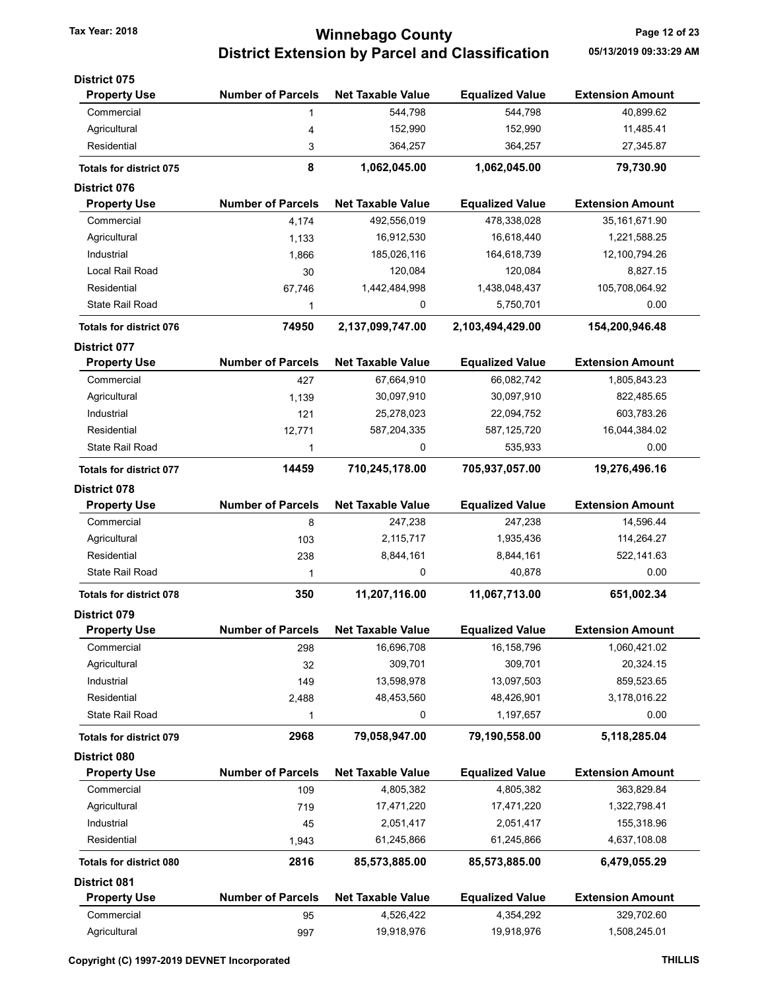# Tax Year: 2018 **Tax Year: 2018** Page 12 of 23 District Extension by Parcel and Classification 05/13/2019 09:33:29 AM

| <b>District 075</b>            |                          |                          |                        |                         |
|--------------------------------|--------------------------|--------------------------|------------------------|-------------------------|
| <b>Property Use</b>            | <b>Number of Parcels</b> | <b>Net Taxable Value</b> | <b>Equalized Value</b> | <b>Extension Amount</b> |
| Commercial                     | 1                        | 544,798                  | 544,798                | 40,899.62               |
| Agricultural                   | 4                        | 152,990                  | 152,990                | 11,485.41               |
| Residential                    | 3                        | 364,257                  | 364,257                | 27,345.87               |
| <b>Totals for district 075</b> | 8                        | 1,062,045.00             | 1,062,045.00           | 79,730.90               |
| <b>District 076</b>            |                          |                          |                        |                         |
| <b>Property Use</b>            | <b>Number of Parcels</b> | <b>Net Taxable Value</b> | <b>Equalized Value</b> | <b>Extension Amount</b> |
| Commercial                     | 4,174                    | 492,556,019              | 478,338,028            | 35, 161, 671. 90        |
| Agricultural                   | 1,133                    | 16,912,530               | 16,618,440             | 1,221,588.25            |
| Industrial                     | 1,866                    | 185,026,116              | 164,618,739            | 12,100,794.26           |
| Local Rail Road                | 30                       | 120,084                  | 120,084                | 8,827.15                |
| Residential                    | 67,746                   | 1,442,484,998            | 1,438,048,437          | 105,708,064.92          |
| State Rail Road                | 1                        | 0                        | 5,750,701              | 0.00                    |
| <b>Totals for district 076</b> | 74950                    | 2,137,099,747.00         | 2,103,494,429.00       | 154,200,946.48          |
| <b>District 077</b>            |                          |                          |                        |                         |
| <b>Property Use</b>            | <b>Number of Parcels</b> | <b>Net Taxable Value</b> | <b>Equalized Value</b> | <b>Extension Amount</b> |
| Commercial                     | 427                      | 67,664,910               | 66,082,742             | 1,805,843.23            |
| Agricultural                   | 1,139                    | 30,097,910               | 30,097,910             | 822,485.65              |
| Industrial                     | 121                      | 25,278,023               | 22,094,752             | 603,783.26              |
| Residential                    | 12,771                   | 587,204,335              | 587, 125, 720          | 16,044,384.02           |
| <b>State Rail Road</b>         | 1                        | 0                        | 535,933                | 0.00                    |
| Totals for district 077        | 14459                    | 710,245,178.00           | 705,937,057.00         | 19,276,496.16           |
| <b>District 078</b>            |                          |                          |                        |                         |
| <b>Property Use</b>            | <b>Number of Parcels</b> | <b>Net Taxable Value</b> | <b>Equalized Value</b> | <b>Extension Amount</b> |
| Commercial                     | 8                        | 247,238                  | 247,238                | 14,596.44               |
| Agricultural                   | 103                      | 2,115,717                | 1,935,436              | 114,264.27              |
| Residential                    | 238                      | 8,844,161                | 8,844,161              | 522, 141.63             |
| State Rail Road                | 1                        | 0                        | 40,878                 | 0.00                    |
| <b>Totals for district 078</b> | 350                      | 11,207,116.00            | 11,067,713.00          | 651,002.34              |
| <b>District 079</b>            |                          |                          |                        |                         |
| <b>Property Use</b>            | <b>Number of Parcels</b> | <b>Net Taxable Value</b> | <b>Equalized Value</b> | <b>Extension Amount</b> |
| Commercial                     | 298                      | 16,696,708               | 16,158,796             | 1,060,421.02            |
| Agricultural                   | 32                       | 309,701                  | 309,701                | 20,324.15               |
| Industrial                     | 149                      | 13,598,978               | 13,097,503             | 859,523.65              |
| Residential                    | 2,488                    | 48,453,560               | 48,426,901             | 3,178,016.22            |
| <b>State Rail Road</b>         | 1                        | 0                        | 1,197,657              | 0.00                    |
| <b>Totals for district 079</b> | 2968                     | 79,058,947.00            | 79,190,558.00          | 5,118,285.04            |
| District 080                   |                          |                          |                        |                         |
| <b>Property Use</b>            | <b>Number of Parcels</b> | <b>Net Taxable Value</b> | <b>Equalized Value</b> | <b>Extension Amount</b> |
| Commercial                     | 109                      | 4,805,382                | 4,805,382              | 363,829.84              |
| Agricultural                   | 719                      | 17,471,220               | 17,471,220             | 1,322,798.41            |
| Industrial                     | 45                       | 2,051,417                | 2,051,417              | 155,318.96              |
| Residential                    | 1,943                    | 61,245,866               | 61,245,866             | 4,637,108.08            |
| <b>Totals for district 080</b> | 2816                     | 85,573,885.00            | 85,573,885.00          | 6,479,055.29            |
| <b>District 081</b>            |                          |                          |                        |                         |
| <b>Property Use</b>            | <b>Number of Parcels</b> | <b>Net Taxable Value</b> | <b>Equalized Value</b> | <b>Extension Amount</b> |
| Commercial                     | 95                       | 4,526,422                | 4,354,292              | 329,702.60              |
| Agricultural                   | 997                      | 19,918,976               | 19,918,976             | 1,508,245.01            |
|                                |                          |                          |                        |                         |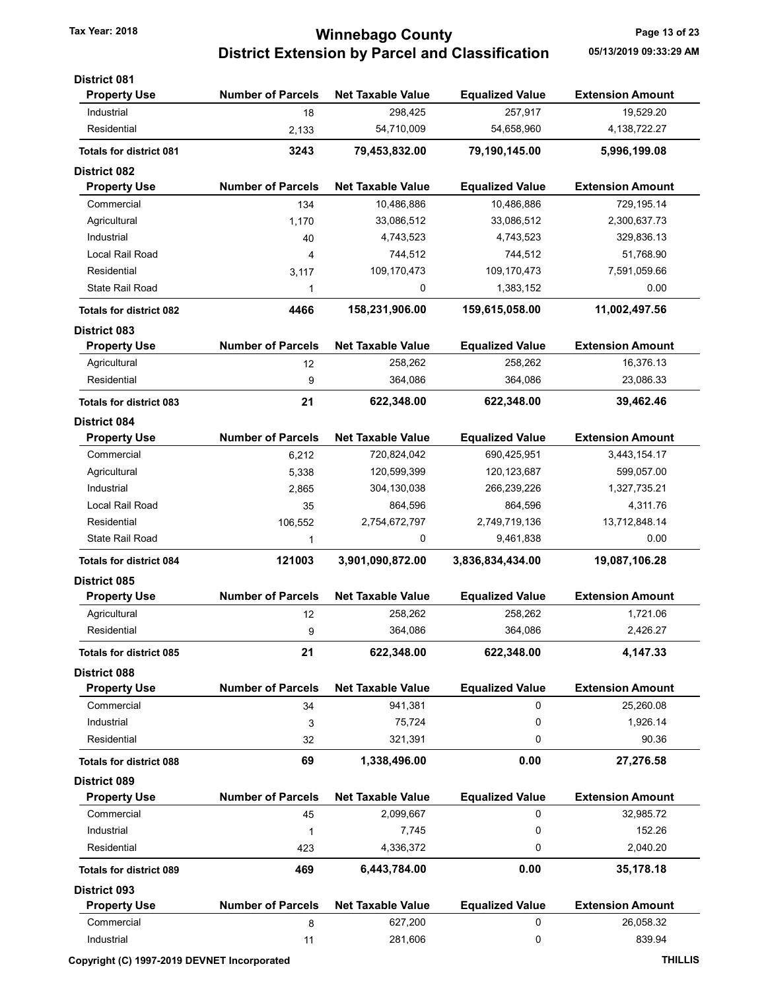# Tax Year: 2018 **Tax Year: 2018 Tax Year: 2018** Page 13 of 23 District Extension by Parcel and Classification 05/13/2019 09:33:29 AM

| <b>District 081</b>            |                          |                          |                        |                         |
|--------------------------------|--------------------------|--------------------------|------------------------|-------------------------|
| <b>Property Use</b>            | <b>Number of Parcels</b> | <b>Net Taxable Value</b> | <b>Equalized Value</b> | <b>Extension Amount</b> |
| Industrial                     | 18                       | 298,425                  | 257,917                | 19,529.20               |
| Residential                    | 2,133                    | 54,710,009               | 54,658,960             | 4,138,722.27            |
| <b>Totals for district 081</b> | 3243                     | 79,453,832.00            | 79,190,145.00          | 5,996,199.08            |
| <b>District 082</b>            |                          |                          |                        |                         |
| <b>Property Use</b>            | <b>Number of Parcels</b> | <b>Net Taxable Value</b> | <b>Equalized Value</b> | <b>Extension Amount</b> |
| Commercial                     | 134                      | 10,486,886               | 10,486,886             | 729,195.14              |
| Agricultural                   | 1,170                    | 33,086,512               | 33,086,512             | 2,300,637.73            |
| Industrial                     | 40                       | 4,743,523                | 4,743,523              | 329,836.13              |
| Local Rail Road                | 4                        | 744,512                  | 744,512                | 51,768.90               |
| Residential                    | 3,117                    | 109,170,473              | 109,170,473            | 7,591,059.66            |
| <b>State Rail Road</b>         | 1                        | 0                        | 1,383,152              | 0.00                    |
| <b>Totals for district 082</b> | 4466                     | 158,231,906.00           | 159,615,058.00         | 11,002,497.56           |
| <b>District 083</b>            |                          |                          |                        |                         |
| <b>Property Use</b>            | <b>Number of Parcels</b> | <b>Net Taxable Value</b> | <b>Equalized Value</b> | <b>Extension Amount</b> |
| Agricultural                   | 12                       | 258,262                  | 258,262                | 16,376.13               |
| Residential                    | 9                        | 364,086                  | 364,086                | 23,086.33               |
| <b>Totals for district 083</b> | 21                       | 622,348.00               | 622,348.00             | 39,462.46               |
| <b>District 084</b>            |                          |                          |                        |                         |
| <b>Property Use</b>            | <b>Number of Parcels</b> | <b>Net Taxable Value</b> | <b>Equalized Value</b> | <b>Extension Amount</b> |
| Commercial                     | 6,212                    | 720,824,042              | 690,425,951            | 3,443,154.17            |
| Agricultural                   | 5,338                    | 120,599,399              | 120, 123, 687          | 599,057.00              |
| Industrial                     | 2,865                    | 304,130,038              | 266,239,226            | 1,327,735.21            |
| Local Rail Road                | 35                       | 864,596                  | 864,596                | 4,311.76                |
| Residential                    | 106,552                  | 2,754,672,797            | 2,749,719,136          | 13,712,848.14           |
| State Rail Road                | 1                        | 0                        | 9,461,838              | 0.00                    |
| <b>Totals for district 084</b> | 121003                   | 3,901,090,872.00         | 3,836,834,434.00       | 19,087,106.28           |
| <b>District 085</b>            |                          |                          |                        |                         |
| <b>Property Use</b>            | <b>Number of Parcels</b> | <b>Net Taxable Value</b> | <b>Equalized Value</b> | <b>Extension Amount</b> |
| Agricultural                   | 12                       | 258,262                  | 258,262                | 1,721.06                |
| Residential                    | 9                        | 364.086                  | 364,086                | 2.426.27                |
| <b>Totals for district 085</b> | 21                       | 622,348.00               | 622,348.00             | 4,147.33                |
| <b>District 088</b>            |                          |                          |                        |                         |
| <b>Property Use</b>            | <b>Number of Parcels</b> | <b>Net Taxable Value</b> | <b>Equalized Value</b> | <b>Extension Amount</b> |
| Commercial                     | 34                       | 941,381                  | 0                      | 25,260.08               |
| Industrial                     | 3                        | 75,724                   | 0                      | 1,926.14                |
| Residential                    | 32                       | 321,391                  | 0                      | 90.36                   |
| <b>Totals for district 088</b> | 69                       | 1,338,496.00             | 0.00                   | 27,276.58               |
| <b>District 089</b>            |                          |                          |                        |                         |
| <b>Property Use</b>            | <b>Number of Parcels</b> | <b>Net Taxable Value</b> | <b>Equalized Value</b> | <b>Extension Amount</b> |
| Commercial                     | 45                       | 2,099,667                | 0                      | 32,985.72               |
| Industrial                     | 1                        | 7,745                    | 0                      | 152.26                  |
| Residential                    | 423                      | 4,336,372                | 0                      | 2,040.20                |
| <b>Totals for district 089</b> | 469                      | 6,443,784.00             | 0.00                   | 35,178.18               |
| <b>District 093</b>            |                          |                          |                        |                         |
| <b>Property Use</b>            | <b>Number of Parcels</b> | <b>Net Taxable Value</b> | <b>Equalized Value</b> | <b>Extension Amount</b> |
| Commercial                     | 8                        | 627,200                  | 0                      | 26,058.32               |
| Industrial                     | 11                       | 281,606                  | 0                      | 839.94                  |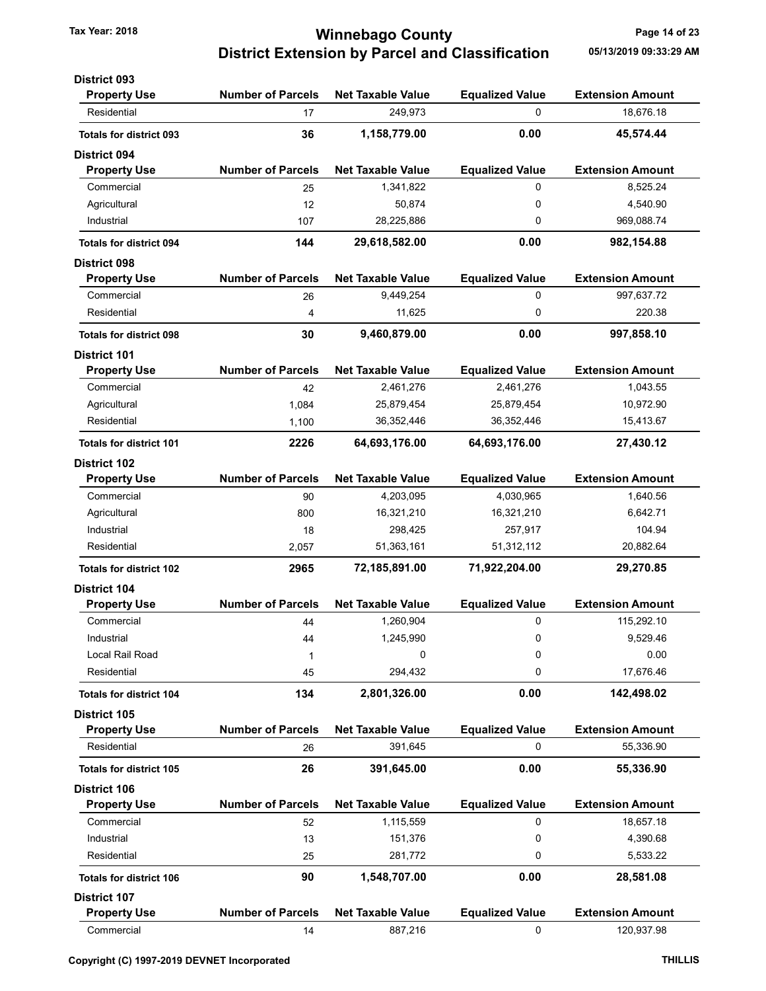### Tax Year: 2018 **Tax Year: 2018** Page 14 of 23 District Extension by Parcel and Classification 05/13/2019 09:33:29 AM

| <b>District 093</b>            |                          |                          |                        |                         |
|--------------------------------|--------------------------|--------------------------|------------------------|-------------------------|
| <b>Property Use</b>            | <b>Number of Parcels</b> | <b>Net Taxable Value</b> | <b>Equalized Value</b> | <b>Extension Amount</b> |
| Residential                    | 17                       | 249,973                  | 0                      | 18,676.18               |
| <b>Totals for district 093</b> | 36                       | 1,158,779.00             | 0.00                   | 45,574.44               |
| <b>District 094</b>            |                          |                          |                        |                         |
| <b>Property Use</b>            | <b>Number of Parcels</b> | <b>Net Taxable Value</b> | <b>Equalized Value</b> | <b>Extension Amount</b> |
| Commercial                     | 25                       | 1,341,822                | 0                      | 8,525.24                |
| Agricultural                   | 12                       | 50,874                   | 0                      | 4,540.90                |
| Industrial                     | 107                      | 28,225,886               | 0                      | 969,088.74              |
| <b>Totals for district 094</b> | 144                      | 29,618,582.00            | 0.00                   | 982,154.88              |
| <b>District 098</b>            |                          |                          |                        |                         |
| <b>Property Use</b>            | <b>Number of Parcels</b> | <b>Net Taxable Value</b> | <b>Equalized Value</b> | <b>Extension Amount</b> |
| Commercial                     | 26                       | 9,449,254                | 0                      | 997,637.72              |
| Residential                    | 4                        | 11,625                   | 0                      | 220.38                  |
| <b>Totals for district 098</b> | 30                       | 9,460,879.00             | 0.00                   | 997,858.10              |
| <b>District 101</b>            |                          |                          |                        |                         |
| <b>Property Use</b>            | <b>Number of Parcels</b> | <b>Net Taxable Value</b> | <b>Equalized Value</b> | <b>Extension Amount</b> |
| Commercial                     | 42                       | 2,461,276                | 2,461,276              | 1,043.55                |
| Agricultural                   | 1,084                    | 25,879,454               | 25,879,454             | 10,972.90               |
| Residential                    | 1,100                    | 36,352,446               | 36,352,446             | 15,413.67               |
| <b>Totals for district 101</b> | 2226                     | 64,693,176.00            | 64,693,176.00          | 27,430.12               |
| <b>District 102</b>            |                          |                          |                        |                         |
| <b>Property Use</b>            | <b>Number of Parcels</b> | <b>Net Taxable Value</b> | <b>Equalized Value</b> | <b>Extension Amount</b> |
| Commercial                     | 90                       | 4,203,095                | 4,030,965              | 1,640.56                |
| Agricultural                   | 800                      | 16,321,210               | 16,321,210             | 6,642.71                |
| Industrial                     | 18                       | 298,425                  | 257,917                | 104.94                  |
| Residential                    | 2,057                    | 51,363,161               | 51,312,112             | 20,882.64               |
| <b>Totals for district 102</b> | 2965                     | 72,185,891.00            | 71,922,204.00          | 29,270.85               |
| <b>District 104</b>            |                          |                          |                        |                         |
| <b>Property Use</b>            | <b>Number of Parcels</b> | <b>Net Taxable Value</b> | <b>Equalized Value</b> | <b>Extension Amount</b> |
| Commercial                     | 44                       | 1,260,904                | 0                      | 115,292.10              |
| Industrial                     | 44                       | 1,245,990                | 0                      | 9,529.46                |
| Local Rail Road                | 1                        | 0                        | 0                      | 0.00                    |
| Residential                    | 45                       | 294,432                  | 0                      | 17,676.46               |
| <b>Totals for district 104</b> | 134                      | 2,801,326.00             | 0.00                   | 142,498.02              |
| District 105                   |                          |                          |                        |                         |
| <b>Property Use</b>            | <b>Number of Parcels</b> | <b>Net Taxable Value</b> | <b>Equalized Value</b> | <b>Extension Amount</b> |
| Residential                    | 26                       | 391,645                  | 0                      | 55,336.90               |
| <b>Totals for district 105</b> | 26                       | 391,645.00               | 0.00                   | 55,336.90               |
| <b>District 106</b>            |                          |                          |                        |                         |
| <b>Property Use</b>            | <b>Number of Parcels</b> | <b>Net Taxable Value</b> | <b>Equalized Value</b> | <b>Extension Amount</b> |
| Commercial                     | 52                       | 1,115,559                | 0                      | 18,657.18               |
| Industrial                     | 13                       | 151,376                  | 0                      | 4,390.68                |
| Residential                    | 25                       | 281,772                  | 0                      | 5,533.22                |
| <b>Totals for district 106</b> | 90                       | 1,548,707.00             | 0.00                   | 28,581.08               |
| <b>District 107</b>            |                          |                          |                        |                         |
| <b>Property Use</b>            | <b>Number of Parcels</b> | <b>Net Taxable Value</b> | <b>Equalized Value</b> | <b>Extension Amount</b> |
| Commercial                     | 14                       | 887,216                  | 0                      | 120,937.98              |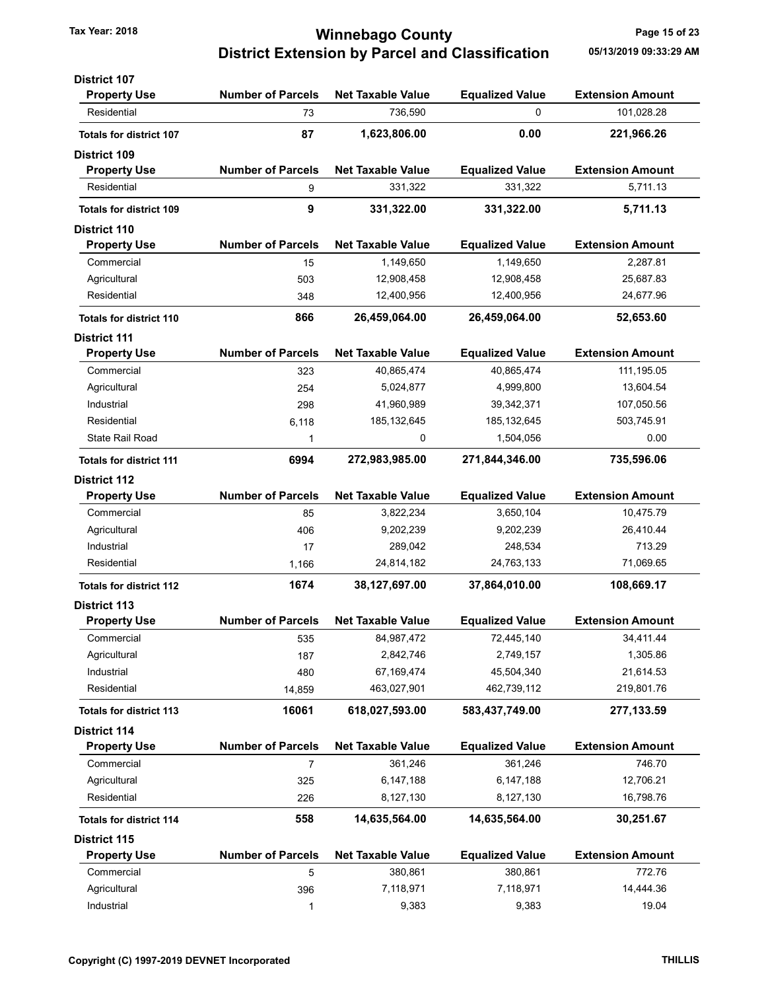### Tax Year: 2018 **Tax Year: 2018 Tax Year: 2018** Page 15 of 23 District Extension by Parcel and Classification 05/13/2019 09:33:29 AM

| <b>District 107</b>            |                          |                          |                        |                         |
|--------------------------------|--------------------------|--------------------------|------------------------|-------------------------|
| <b>Property Use</b>            | <b>Number of Parcels</b> | <b>Net Taxable Value</b> | <b>Equalized Value</b> | <b>Extension Amount</b> |
| Residential                    | 73                       | 736,590                  | 0                      | 101,028.28              |
| <b>Totals for district 107</b> | 87                       | 1,623,806.00             | 0.00                   | 221,966.26              |
| <b>District 109</b>            |                          |                          |                        |                         |
| <b>Property Use</b>            | <b>Number of Parcels</b> | <b>Net Taxable Value</b> | <b>Equalized Value</b> | <b>Extension Amount</b> |
| Residential                    | 9                        | 331,322                  | 331,322                | 5,711.13                |
| <b>Totals for district 109</b> | 9                        | 331,322.00               | 331,322.00             | 5,711.13                |
| <b>District 110</b>            |                          |                          |                        |                         |
| <b>Property Use</b>            | <b>Number of Parcels</b> | <b>Net Taxable Value</b> | <b>Equalized Value</b> | <b>Extension Amount</b> |
| Commercial                     | 15                       | 1,149,650                | 1,149,650              | 2,287.81                |
| Agricultural                   | 503                      | 12,908,458               | 12,908,458             | 25,687.83               |
| Residential                    | 348                      | 12,400,956               | 12,400,956             | 24,677.96               |
| <b>Totals for district 110</b> | 866                      | 26,459,064.00            | 26,459,064.00          | 52,653.60               |
| <b>District 111</b>            |                          |                          |                        |                         |
| <b>Property Use</b>            | <b>Number of Parcels</b> | <b>Net Taxable Value</b> | <b>Equalized Value</b> | <b>Extension Amount</b> |
| Commercial                     | 323                      | 40,865,474               | 40,865,474             | 111, 195.05             |
| Agricultural                   | 254                      | 5,024,877                | 4,999,800              | 13,604.54               |
| Industrial                     | 298                      | 41,960,989               | 39,342,371             | 107,050.56              |
| Residential                    | 6,118                    | 185, 132, 645            | 185, 132, 645          | 503,745.91              |
| State Rail Road                | 1                        | 0                        | 1,504,056              | 0.00                    |
| <b>Totals for district 111</b> | 6994                     | 272,983,985.00           | 271,844,346.00         | 735,596.06              |
| <b>District 112</b>            |                          |                          |                        |                         |
| <b>Property Use</b>            | <b>Number of Parcels</b> | <b>Net Taxable Value</b> | <b>Equalized Value</b> | <b>Extension Amount</b> |
| Commercial                     | 85                       | 3,822,234                | 3,650,104              | 10,475.79               |
| Agricultural                   | 406                      | 9,202,239                | 9,202,239              | 26,410.44               |
| Industrial                     | 17                       | 289,042                  | 248,534                | 713.29                  |
| Residential                    | 1,166                    | 24,814,182               | 24,763,133             | 71,069.65               |
| <b>Totals for district 112</b> | 1674                     | 38,127,697.00            | 37,864,010.00          | 108,669.17              |
| <b>District 113</b>            |                          |                          |                        |                         |
| <b>Property Use</b>            | <b>Number of Parcels</b> | <b>Net Taxable Value</b> | <b>Equalized Value</b> | <b>Extension Amount</b> |
| Commercial                     | 535                      | 84,987,472               | 72,445,140             | 34,411.44               |
| Agricultural                   | 187                      | 2,842,746                | 2,749,157              | 1,305.86                |
| Industrial                     | 480                      | 67,169,474               | 45,504,340             | 21,614.53               |
| Residential                    | 14,859                   | 463,027,901              | 462,739,112            | 219,801.76              |
| <b>Totals for district 113</b> | 16061                    | 618,027,593.00           | 583,437,749.00         | 277,133.59              |
| <b>District 114</b>            |                          |                          |                        |                         |
| <b>Property Use</b>            | <b>Number of Parcels</b> | <b>Net Taxable Value</b> | <b>Equalized Value</b> | <b>Extension Amount</b> |
| Commercial                     | 7                        | 361,246                  | 361,246                | 746.70                  |
| Agricultural                   | 325                      | 6,147,188                | 6,147,188              | 12,706.21               |
| Residential                    | 226                      | 8,127,130                | 8,127,130              | 16,798.76               |
| <b>Totals for district 114</b> | 558                      | 14,635,564.00            | 14,635,564.00          | 30,251.67               |
| District 115                   |                          |                          |                        |                         |
| <b>Property Use</b>            | <b>Number of Parcels</b> | <b>Net Taxable Value</b> | <b>Equalized Value</b> | <b>Extension Amount</b> |
| Commercial                     | 5                        | 380,861                  | 380,861                | 772.76                  |
| Agricultural                   | 396                      | 7,118,971                | 7,118,971              | 14,444.36               |
| Industrial                     | $\mathbf{1}$             | 9,383                    | 9,383                  | 19.04                   |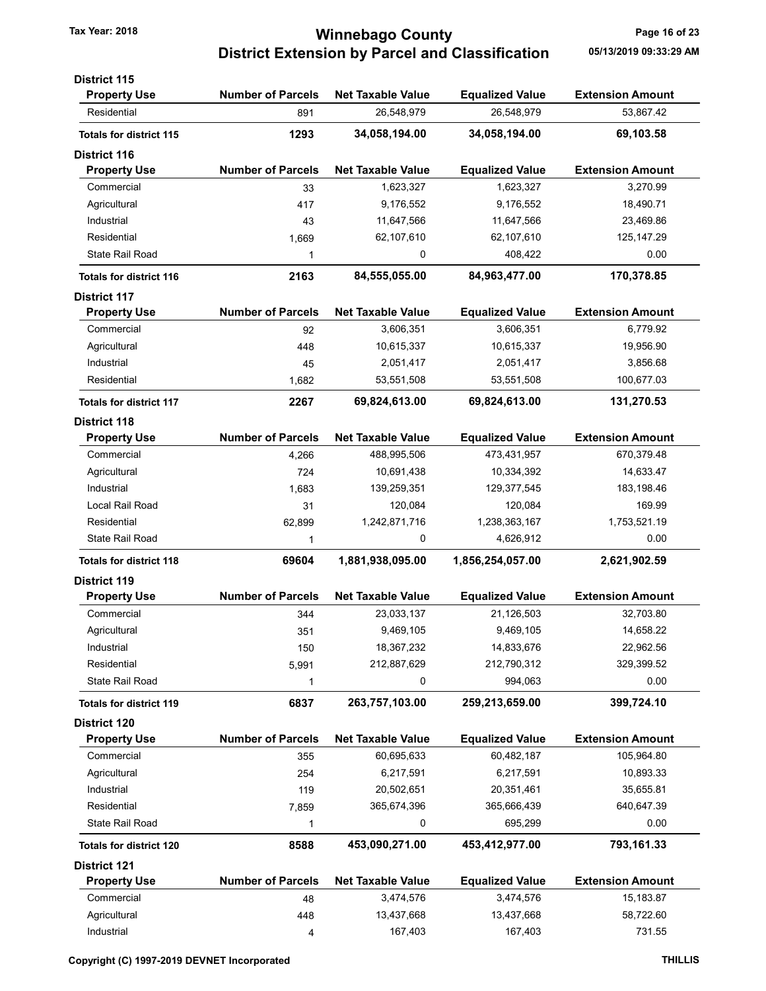### Tax Year: 2018 **Tax Year: 2018 Tax Year: 2018** Page 16 of 23 District Extension by Parcel and Classification 05/13/2019 09:33:29 AM

| <b>District 115</b>            |                          |                          |                        |                         |
|--------------------------------|--------------------------|--------------------------|------------------------|-------------------------|
| <b>Property Use</b>            | <b>Number of Parcels</b> | <b>Net Taxable Value</b> | <b>Equalized Value</b> | <b>Extension Amount</b> |
| Residential                    | 891                      | 26,548,979               | 26,548,979             | 53,867.42               |
| <b>Totals for district 115</b> | 1293                     | 34,058,194.00            | 34,058,194.00          | 69,103.58               |
| <b>District 116</b>            |                          |                          |                        |                         |
| <b>Property Use</b>            | <b>Number of Parcels</b> | <b>Net Taxable Value</b> | <b>Equalized Value</b> | <b>Extension Amount</b> |
| Commercial                     | 33                       | 1,623,327                | 1,623,327              | 3,270.99                |
| Agricultural                   | 417                      | 9,176,552                | 9,176,552              | 18,490.71               |
| Industrial                     | 43                       | 11,647,566               | 11,647,566             | 23,469.86               |
| Residential                    | 1,669                    | 62,107,610               | 62,107,610             | 125, 147.29             |
| <b>State Rail Road</b>         | 1                        | 0                        | 408,422                | 0.00                    |
| <b>Totals for district 116</b> | 2163                     | 84,555,055.00            | 84,963,477.00          | 170,378.85              |
| <b>District 117</b>            |                          |                          |                        |                         |
| <b>Property Use</b>            | <b>Number of Parcels</b> | <b>Net Taxable Value</b> | <b>Equalized Value</b> | <b>Extension Amount</b> |
| Commercial                     | 92                       | 3,606,351                | 3,606,351              | 6,779.92                |
| Agricultural                   | 448                      | 10,615,337               | 10,615,337             | 19,956.90               |
| Industrial                     | 45                       | 2,051,417                | 2,051,417              | 3,856.68                |
| Residential                    | 1,682                    | 53,551,508               | 53,551,508             | 100,677.03              |
| <b>Totals for district 117</b> | 2267                     | 69,824,613.00            | 69,824,613.00          | 131,270.53              |
| <b>District 118</b>            |                          |                          |                        |                         |
| <b>Property Use</b>            | <b>Number of Parcels</b> | <b>Net Taxable Value</b> | <b>Equalized Value</b> | <b>Extension Amount</b> |
| Commercial                     | 4,266                    | 488,995,506              | 473,431,957            | 670,379.48              |
| Agricultural                   | 724                      | 10,691,438               | 10,334,392             | 14,633.47               |
| Industrial                     | 1,683                    | 139,259,351              | 129,377,545            | 183,198.46              |
| Local Rail Road                | 31                       | 120,084                  | 120,084                | 169.99                  |
| Residential                    | 62,899                   | 1,242,871,716            | 1,238,363,167          | 1,753,521.19            |
| <b>State Rail Road</b>         | 1                        | 0                        | 4,626,912              | 0.00                    |
| <b>Totals for district 118</b> | 69604                    | 1,881,938,095.00         | 1,856,254,057.00       | 2,621,902.59            |
| <b>District 119</b>            |                          |                          |                        |                         |
| <b>Property Use</b>            | <b>Number of Parcels</b> | <b>Net Taxable Value</b> | <b>Equalized Value</b> | <b>Extension Amount</b> |
| Commercial                     | 344                      | 23,033,137               | 21,126,503             | 32,703.80               |
| Agricultural                   | 351                      | 9,469,105                | 9,469,105              | 14,658.22               |
| Industrial                     | 150                      | 18,367,232               | 14,833,676             | 22,962.56               |
| Residential                    | 5,991                    | 212,887,629              | 212,790,312            | 329,399.52              |
| <b>State Rail Road</b>         | 1                        | 0                        | 994,063                | 0.00                    |
| <b>Totals for district 119</b> | 6837                     | 263,757,103.00           | 259,213,659.00         | 399,724.10              |
| <b>District 120</b>            |                          |                          |                        |                         |
| <b>Property Use</b>            | <b>Number of Parcels</b> | <b>Net Taxable Value</b> | <b>Equalized Value</b> | <b>Extension Amount</b> |
| Commercial                     | 355                      | 60,695,633               | 60,482,187             | 105,964.80              |
| Agricultural                   | 254                      | 6,217,591                | 6,217,591              | 10,893.33               |
| Industrial                     | 119                      | 20,502,651               | 20,351,461             | 35,655.81               |
| Residential                    | 7,859                    | 365,674,396              | 365,666,439            | 640,647.39              |
| State Rail Road                | 1                        | 0                        | 695,299                | 0.00                    |
| <b>Totals for district 120</b> | 8588                     | 453,090,271.00           | 453,412,977.00         | 793,161.33              |
| <b>District 121</b>            |                          |                          |                        |                         |
| <b>Property Use</b>            | <b>Number of Parcels</b> | <b>Net Taxable Value</b> | <b>Equalized Value</b> | <b>Extension Amount</b> |
| Commercial                     | 48                       | 3,474,576                | 3,474,576              | 15,183.87               |
| Agricultural                   | 448                      | 13,437,668               | 13,437,668             | 58,722.60               |
| Industrial                     | 4                        | 167,403                  | 167,403                | 731.55                  |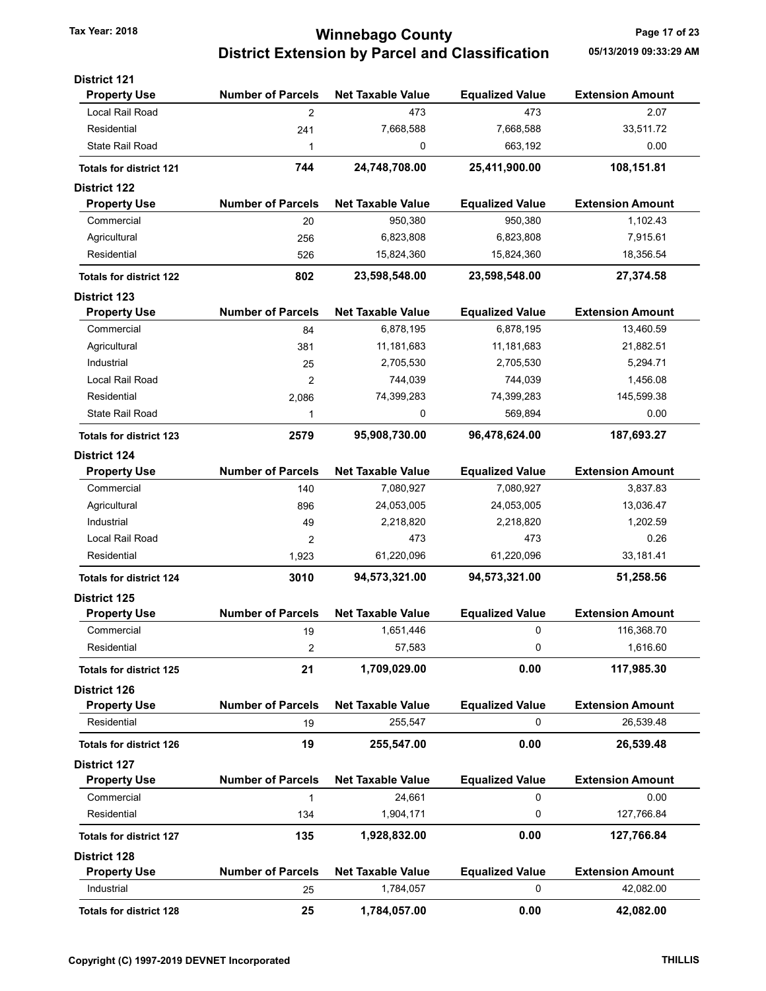### Tax Year: 2018 **Tax Year: 2018** Page 17 of 23 District Extension by Parcel and Classification 05/13/2019 09:33:29 AM

| <b>District 121</b>            |                          |                          |                        |                         |
|--------------------------------|--------------------------|--------------------------|------------------------|-------------------------|
| <b>Property Use</b>            | <b>Number of Parcels</b> | <b>Net Taxable Value</b> | <b>Equalized Value</b> | <b>Extension Amount</b> |
| Local Rail Road                | $\overline{2}$           | 473                      | 473                    | 2.07                    |
| Residential                    | 241                      | 7,668,588                | 7,668,588              | 33,511.72               |
| <b>State Rail Road</b>         | 1                        | 0                        | 663,192                | 0.00                    |
| <b>Totals for district 121</b> | 744                      | 24,748,708.00            | 25,411,900.00          | 108,151.81              |
| <b>District 122</b>            |                          |                          |                        |                         |
| <b>Property Use</b>            | <b>Number of Parcels</b> | <b>Net Taxable Value</b> | <b>Equalized Value</b> | <b>Extension Amount</b> |
| Commercial                     | 20                       | 950,380                  | 950,380                | 1,102.43                |
| Agricultural                   | 256                      | 6,823,808                | 6,823,808              | 7,915.61                |
| Residential                    | 526                      | 15,824,360               | 15,824,360             | 18,356.54               |
| <b>Totals for district 122</b> | 802                      | 23,598,548.00            | 23,598,548.00          | 27,374.58               |
| <b>District 123</b>            |                          |                          |                        |                         |
| <b>Property Use</b>            | <b>Number of Parcels</b> | <b>Net Taxable Value</b> | <b>Equalized Value</b> | <b>Extension Amount</b> |
| Commercial                     | 84                       | 6,878,195                | 6,878,195              | 13,460.59               |
| Agricultural                   | 381                      | 11, 181, 683             | 11,181,683             | 21,882.51               |
| Industrial                     | 25                       | 2,705,530                | 2,705,530              | 5,294.71                |
| Local Rail Road                | 2                        | 744,039                  | 744,039                | 1,456.08                |
| Residential                    | 2,086                    | 74,399,283               | 74,399,283             | 145,599.38              |
| State Rail Road                | 1                        | 0                        | 569,894                | 0.00                    |
| <b>Totals for district 123</b> | 2579                     | 95,908,730.00            | 96,478,624.00          | 187,693.27              |
| <b>District 124</b>            |                          |                          |                        |                         |
| <b>Property Use</b>            | <b>Number of Parcels</b> | <b>Net Taxable Value</b> | <b>Equalized Value</b> | <b>Extension Amount</b> |
| Commercial                     | 140                      | 7,080,927                | 7,080,927              | 3,837.83                |
| Agricultural                   | 896                      | 24,053,005               | 24,053,005             | 13,036.47               |
| Industrial                     | 49                       | 2,218,820                | 2,218,820              | 1,202.59                |
| Local Rail Road                | 2                        | 473                      | 473                    | 0.26                    |
| Residential                    | 1,923                    | 61,220,096               | 61,220,096             | 33,181.41               |
| <b>Totals for district 124</b> | 3010                     | 94,573,321.00            | 94,573,321.00          | 51,258.56               |
| <b>District 125</b>            |                          |                          |                        |                         |
| <b>Property Use</b>            | <b>Number of Parcels</b> | <b>Net Taxable Value</b> | <b>Equalized Value</b> | <b>Extension Amount</b> |
| Commercial                     | 19                       | 1,651,446                | 0                      | 116,368.70              |
| Residential                    | 2                        | 57,583                   | 0                      | 1,616.60                |
| <b>Totals for district 125</b> | 21                       | 1,709,029.00             | 0.00                   | 117,985.30              |
| <b>District 126</b>            |                          |                          |                        |                         |
| <b>Property Use</b>            | <b>Number of Parcels</b> | <b>Net Taxable Value</b> | <b>Equalized Value</b> | <b>Extension Amount</b> |
| Residential                    | 19                       | 255,547                  | 0                      | 26,539.48               |
| <b>Totals for district 126</b> | 19                       | 255,547.00               | 0.00                   | 26,539.48               |
| <b>District 127</b>            |                          |                          |                        |                         |
| <b>Property Use</b>            | <b>Number of Parcels</b> | <b>Net Taxable Value</b> | <b>Equalized Value</b> | <b>Extension Amount</b> |
| Commercial                     | 1                        | 24,661                   | 0                      | 0.00                    |
| Residential                    | 134                      | 1,904,171                | 0                      | 127,766.84              |
| <b>Totals for district 127</b> | 135                      | 1,928,832.00             | 0.00                   | 127,766.84              |
| <b>District 128</b>            |                          |                          |                        |                         |
| <b>Property Use</b>            | <b>Number of Parcels</b> | <b>Net Taxable Value</b> | <b>Equalized Value</b> | <b>Extension Amount</b> |
| Industrial                     | 25                       | 1,784,057                | 0                      | 42,082.00               |
| <b>Totals for district 128</b> | 25                       | 1,784,057.00             | 0.00                   | 42,082.00               |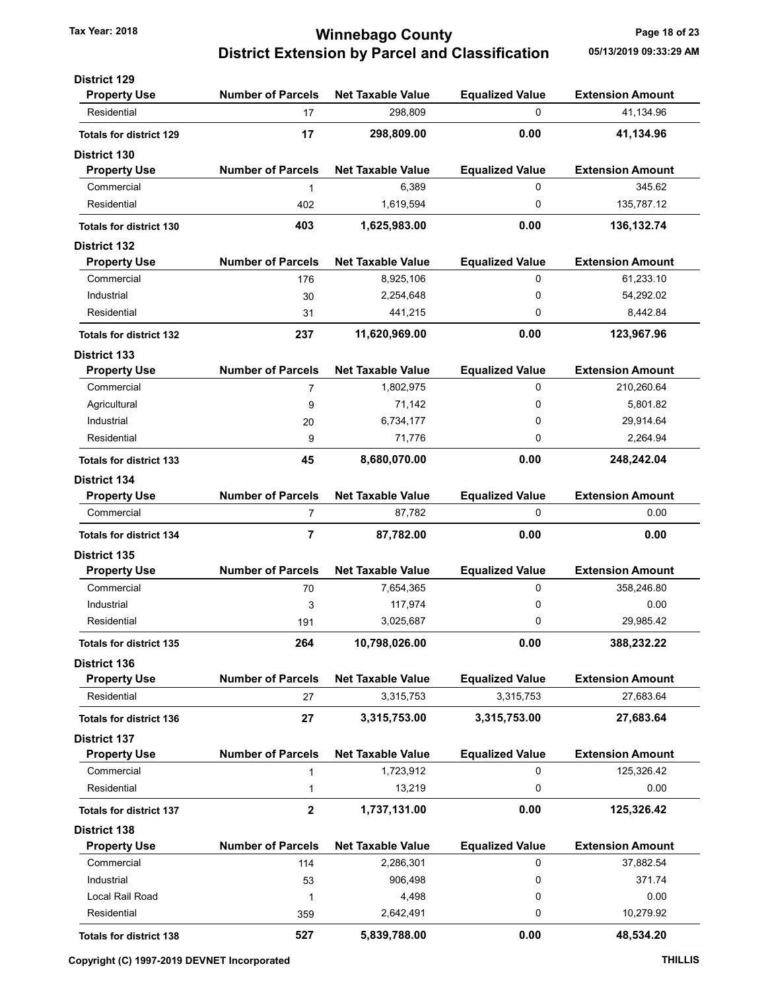### Tax Year: 2018 **Tax Year: 2018 Tax Year: 2018** Page 18 of 23 District Extension by Parcel and Classification 05/13/2019 09:33:29 AM

| <b>District 129</b>            |                          |                          |                        |                         |
|--------------------------------|--------------------------|--------------------------|------------------------|-------------------------|
| <b>Property Use</b>            | <b>Number of Parcels</b> | <b>Net Taxable Value</b> | <b>Equalized Value</b> | <b>Extension Amount</b> |
| Residential                    | 17                       | 298,809                  | 0                      | 41.134.96               |
| <b>Totals for district 129</b> | 17                       | 298,809.00               | 0.00                   | 41,134.96               |
| <b>District 130</b>            |                          |                          |                        |                         |
| <b>Property Use</b>            | <b>Number of Parcels</b> | <b>Net Taxable Value</b> | <b>Equalized Value</b> | <b>Extension Amount</b> |
| Commercial                     | 1                        | 6,389                    | 0                      | 345.62                  |
| Residential                    | 402                      | 1,619,594                | 0                      | 135,787.12              |
| <b>Totals for district 130</b> | 403                      | 1,625,983.00             | 0.00                   | 136, 132. 74            |
| <b>District 132</b>            |                          |                          |                        |                         |
| <b>Property Use</b>            | <b>Number of Parcels</b> | <b>Net Taxable Value</b> | <b>Equalized Value</b> | <b>Extension Amount</b> |
| Commercial                     | 176                      | 8,925,106                | 0                      | 61,233.10               |
| Industrial                     | 30                       | 2,254,648                | 0                      | 54,292.02               |
| Residential                    | 31                       | 441,215                  | 0                      | 8,442.84                |
| <b>Totals for district 132</b> | 237                      | 11,620,969.00            | 0.00                   | 123,967.96              |
| <b>District 133</b>            |                          |                          |                        |                         |
| <b>Property Use</b>            | <b>Number of Parcels</b> | <b>Net Taxable Value</b> | <b>Equalized Value</b> | <b>Extension Amount</b> |
| Commercial                     | 7                        | 1,802,975                | 0                      | 210,260.64              |
| Agricultural                   | 9                        | 71,142                   | 0                      | 5,801.82                |
| Industrial                     | 20                       | 6,734,177                | 0                      | 29,914.64               |
| Residential                    | 9                        | 71,776                   | 0                      | 2,264.94                |
|                                |                          |                          |                        |                         |
| <b>Totals for district 133</b> | 45                       | 8,680,070.00             | 0.00                   | 248,242.04              |
| <b>District 134</b>            |                          |                          |                        |                         |
| <b>Property Use</b>            | <b>Number of Parcels</b> | <b>Net Taxable Value</b> | <b>Equalized Value</b> | <b>Extension Amount</b> |
| Commercial                     | 7                        | 87,782                   | 0                      | 0.00                    |
| <b>Totals for district 134</b> | $\overline{\mathbf{r}}$  | 87,782.00                | 0.00                   | 0.00                    |
| <b>District 135</b>            |                          |                          |                        |                         |
| <b>Property Use</b>            | <b>Number of Parcels</b> | <b>Net Taxable Value</b> | <b>Equalized Value</b> | <b>Extension Amount</b> |
| Commercial                     | 70                       | 7,654,365                | 0                      | 358,246.80              |
| Industrial                     | 3                        | 117,974                  | 0                      | 0.00                    |
| Residential                    | 191                      | 3,025,687                | 0                      | 29,985.42               |
| <b>Totals for district 135</b> | 264                      | 10,798,026.00            | 0.00                   | 388,232.22              |
| <b>District 136</b>            |                          |                          |                        |                         |
| <b>Property Use</b>            | <b>Number of Parcels</b> | <b>Net Taxable Value</b> | <b>Equalized Value</b> | <b>Extension Amount</b> |
| Residential                    | 27                       | 3,315,753                | 3,315,753              | 27,683.64               |
| <b>Totals for district 136</b> | 27                       | 3,315,753.00             | 3,315,753.00           | 27,683.64               |
| <b>District 137</b>            |                          |                          |                        |                         |
| <b>Property Use</b>            | <b>Number of Parcels</b> | <b>Net Taxable Value</b> | <b>Equalized Value</b> | <b>Extension Amount</b> |
| Commercial                     | $\mathbf{1}$             | 1,723,912                | 0                      | 125,326.42              |
| Residential                    | 1                        | 13,219                   | 0                      | 0.00                    |
| <b>Totals for district 137</b> | $\mathbf{2}$             | 1,737,131.00             | 0.00                   | 125,326.42              |
| <b>District 138</b>            |                          |                          |                        |                         |
| <b>Property Use</b>            | <b>Number of Parcels</b> | <b>Net Taxable Value</b> | <b>Equalized Value</b> | <b>Extension Amount</b> |
| Commercial                     | 114                      | 2,286,301                | 0                      | 37,882.54               |
| Industrial                     | 53                       | 906,498                  | 0                      | 371.74                  |
| Local Rail Road                | 1                        | 4,498                    | 0                      | 0.00                    |
| Residential                    | 359                      | 2,642,491                | 0                      | 10,279.92               |
|                                |                          |                          |                        |                         |
| <b>Totals for district 138</b> | 527                      | 5,839,788.00             | 0.00                   | 48,534.20               |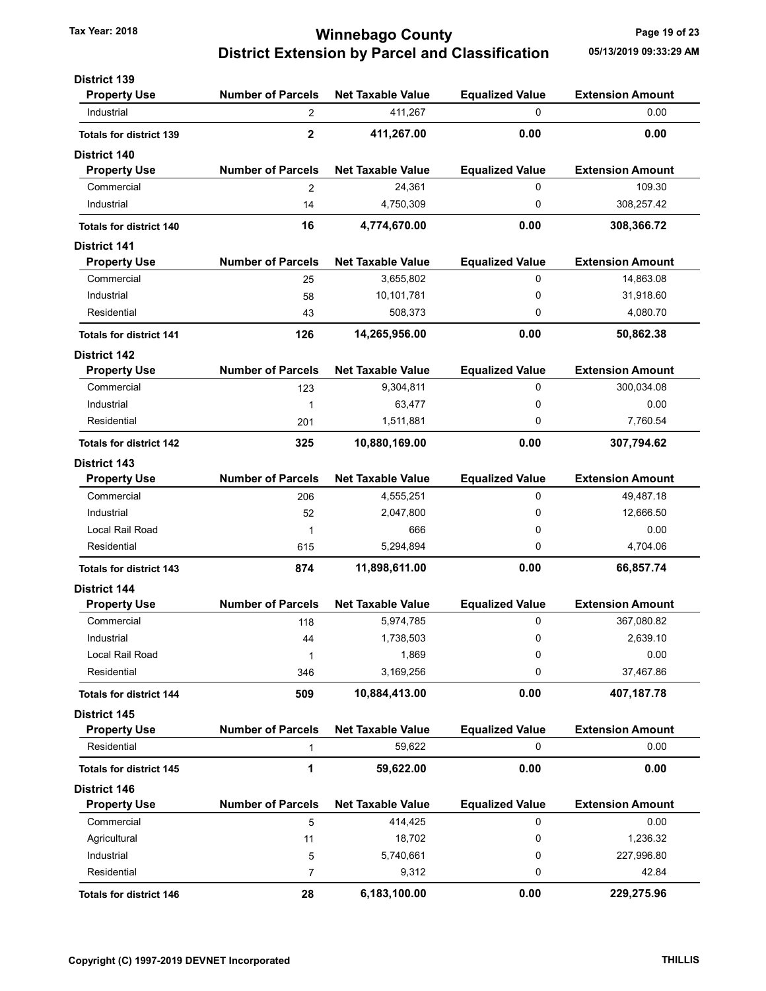### Tax Year: 2018 **Tax Year: 2018 Tax Year: 2018** Page 19 of 23 District Extension by Parcel and Classification 05/13/2019 09:33:29 AM

| <b>District 139</b>            |                          |                          |                        |                         |
|--------------------------------|--------------------------|--------------------------|------------------------|-------------------------|
| <b>Property Use</b>            | <b>Number of Parcels</b> | <b>Net Taxable Value</b> | <b>Equalized Value</b> | <b>Extension Amount</b> |
| Industrial                     | 2                        | 411,267                  | 0                      | 0.00                    |
| <b>Totals for district 139</b> | $\mathbf{2}$             | 411,267.00               | 0.00                   | 0.00                    |
| <b>District 140</b>            |                          |                          |                        |                         |
| <b>Property Use</b>            | <b>Number of Parcels</b> | <b>Net Taxable Value</b> | <b>Equalized Value</b> | <b>Extension Amount</b> |
| Commercial                     | 2                        | 24,361                   | 0                      | 109.30                  |
| Industrial                     | 14                       | 4,750,309                | 0                      | 308,257.42              |
| <b>Totals for district 140</b> | 16                       | 4,774,670.00             | 0.00                   | 308,366.72              |
| <b>District 141</b>            |                          |                          |                        |                         |
| <b>Property Use</b>            | <b>Number of Parcels</b> | <b>Net Taxable Value</b> | <b>Equalized Value</b> | <b>Extension Amount</b> |
| Commercial                     | 25                       | 3,655,802                | 0                      | 14,863.08               |
| Industrial                     | 58                       | 10,101,781               | 0                      | 31,918.60               |
| Residential                    | 43                       | 508,373                  | 0                      | 4,080.70                |
| <b>Totals for district 141</b> | 126                      | 14,265,956.00            | 0.00                   | 50,862.38               |
| <b>District 142</b>            |                          |                          |                        |                         |
| <b>Property Use</b>            | <b>Number of Parcels</b> | <b>Net Taxable Value</b> | <b>Equalized Value</b> | <b>Extension Amount</b> |
| Commercial                     | 123                      | 9,304,811                | 0                      | 300,034.08              |
| Industrial                     | 1                        | 63,477                   | 0                      | 0.00                    |
| Residential                    | 201                      | 1,511,881                | 0                      | 7,760.54                |
| <b>Totals for district 142</b> | 325                      | 10,880,169.00            | 0.00                   | 307,794.62              |
| <b>District 143</b>            |                          |                          |                        |                         |
| <b>Property Use</b>            | <b>Number of Parcels</b> | <b>Net Taxable Value</b> | <b>Equalized Value</b> | <b>Extension Amount</b> |
| Commercial                     | 206                      | 4,555,251                | 0                      | 49,487.18               |
| Industrial                     | 52                       | 2,047,800                | 0                      | 12,666.50               |
| Local Rail Road                | 1                        | 666                      | 0                      | 0.00                    |
| Residential                    | 615                      | 5,294,894                | 0                      | 4,704.06                |
| <b>Totals for district 143</b> | 874                      | 11,898,611.00            | 0.00                   | 66,857.74               |
| <b>District 144</b>            |                          |                          |                        |                         |
| <b>Property Use</b>            | <b>Number of Parcels</b> | <b>Net Taxable Value</b> | <b>Equalized Value</b> | <b>Extension Amount</b> |
| Commercial                     | 118                      | 5,974,785                | 0                      | 367,080.82              |
| Industrial                     | 44                       | 1,738,503                | 0                      | 2,639.10                |
| Local Rail Road                | 1                        | 1,869                    | 0                      | 0.00                    |
| Residential                    | 346                      | 3,169,256                | 0                      | 37,467.86               |
| <b>Totals for district 144</b> | 509                      | 10,884,413.00            | 0.00                   | 407,187.78              |
| <b>District 145</b>            |                          |                          |                        |                         |
| <b>Property Use</b>            | <b>Number of Parcels</b> | <b>Net Taxable Value</b> | <b>Equalized Value</b> | <b>Extension Amount</b> |
| Residential                    | 1                        | 59,622                   | 0                      | 0.00                    |
| <b>Totals for district 145</b> | 1                        | 59,622.00                | 0.00                   | 0.00                    |
| <b>District 146</b>            |                          |                          |                        |                         |
| <b>Property Use</b>            | <b>Number of Parcels</b> | <b>Net Taxable Value</b> | <b>Equalized Value</b> | <b>Extension Amount</b> |
| Commercial                     | 5                        | 414,425                  | 0                      | 0.00                    |
| Agricultural                   | 11                       | 18,702                   | 0                      | 1,236.32                |
| Industrial                     | 5                        | 5,740,661                | 0                      | 227,996.80              |
| Residential                    | $\overline{7}$           | 9,312                    | 0                      | 42.84                   |
| <b>Totals for district 146</b> | 28                       | 6,183,100.00             | 0.00                   | 229,275.96              |
|                                |                          |                          |                        |                         |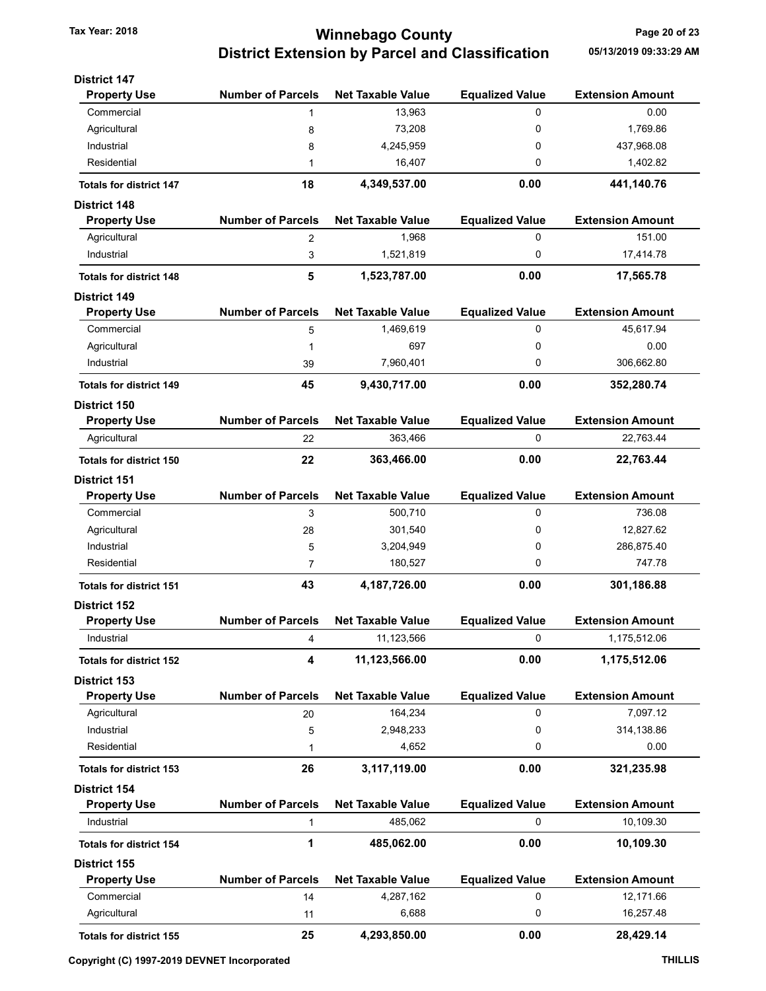### Tax Year: 2018 **Tax Year: 2018** Page 20 of 23 District Extension by Parcel and Classification 05/13/2019 09:33:29 AM

| <b>District 147</b>            |                          |                          |                        |                         |
|--------------------------------|--------------------------|--------------------------|------------------------|-------------------------|
| <b>Property Use</b>            | <b>Number of Parcels</b> | <b>Net Taxable Value</b> | <b>Equalized Value</b> | <b>Extension Amount</b> |
| Commercial                     | 1                        | 13,963                   | 0                      | 0.00                    |
| Agricultural                   | 8                        | 73,208                   | 0                      | 1,769.86                |
| Industrial                     | 8                        | 4,245,959                | 0                      | 437,968.08              |
| Residential                    | 1                        | 16,407                   | 0                      | 1,402.82                |
| <b>Totals for district 147</b> | 18                       | 4,349,537.00             | 0.00                   | 441,140.76              |
| <b>District 148</b>            |                          |                          |                        |                         |
| <b>Property Use</b>            | <b>Number of Parcels</b> | <b>Net Taxable Value</b> | <b>Equalized Value</b> | <b>Extension Amount</b> |
| Agricultural                   | 2                        | 1,968                    | 0                      | 151.00                  |
| Industrial                     | 3                        | 1,521,819                | 0                      | 17,414.78               |
| <b>Totals for district 148</b> | 5                        | 1,523,787.00             | 0.00                   | 17,565.78               |
| <b>District 149</b>            |                          |                          |                        |                         |
| <b>Property Use</b>            | <b>Number of Parcels</b> | <b>Net Taxable Value</b> | <b>Equalized Value</b> | <b>Extension Amount</b> |
| Commercial                     | 5                        | 1,469,619                | 0                      | 45.617.94               |
| Agricultural                   | 1                        | 697                      | 0                      | 0.00                    |
| Industrial                     | 39                       | 7,960,401                | 0                      | 306,662.80              |
| <b>Totals for district 149</b> | 45                       | 9,430,717.00             | 0.00                   | 352,280.74              |
| <b>District 150</b>            |                          |                          |                        |                         |
| <b>Property Use</b>            | <b>Number of Parcels</b> | <b>Net Taxable Value</b> | <b>Equalized Value</b> | <b>Extension Amount</b> |
| Agricultural                   | 22                       | 363,466                  | 0                      | 22,763.44               |
| <b>Totals for district 150</b> | 22                       | 363,466.00               | 0.00                   | 22,763.44               |
| <b>District 151</b>            |                          |                          |                        |                         |
| <b>Property Use</b>            | <b>Number of Parcels</b> | <b>Net Taxable Value</b> | <b>Equalized Value</b> | <b>Extension Amount</b> |
| Commercial                     | 3                        | 500,710                  | 0                      | 736.08                  |
| Agricultural                   | 28                       | 301,540                  | 0                      | 12,827.62               |
| Industrial                     | 5                        | 3,204,949                | 0                      | 286,875.40              |
| Residential                    | 7                        | 180,527                  | 0                      | 747.78                  |
| <b>Totals for district 151</b> | 43                       | 4,187,726.00             | 0.00                   | 301,186.88              |
| District 152                   |                          |                          |                        |                         |
| <b>Property Use</b>            | <b>Number of Parcels</b> | <b>Net Taxable Value</b> | <b>Equalized Value</b> | <b>Extension Amount</b> |
| Industrial                     | 4                        | 11,123,566               | 0                      | 1,175,512.06            |
| <b>Totals for district 152</b> | 4                        | 11,123,566.00            | 0.00                   | 1,175,512.06            |
| <b>District 153</b>            |                          |                          |                        |                         |
| <b>Property Use</b>            | <b>Number of Parcels</b> | <b>Net Taxable Value</b> | <b>Equalized Value</b> | <b>Extension Amount</b> |
| Agricultural                   | 20                       | 164,234                  | 0                      | 7,097.12                |
| Industrial                     | 5                        | 2,948,233                | 0                      | 314,138.86              |
| Residential                    | 1                        | 4,652                    | 0                      | 0.00                    |
| <b>Totals for district 153</b> | 26                       | 3,117,119.00             | 0.00                   | 321,235.98              |
| <b>District 154</b>            |                          |                          |                        |                         |
| <b>Property Use</b>            | <b>Number of Parcels</b> | <b>Net Taxable Value</b> | <b>Equalized Value</b> | <b>Extension Amount</b> |
| Industrial                     | 1                        | 485,062                  | 0                      | 10,109.30               |
| <b>Totals for district 154</b> | 1                        | 485,062.00               | 0.00                   | 10,109.30               |
| <b>District 155</b>            |                          |                          |                        |                         |
| <b>Property Use</b>            | <b>Number of Parcels</b> | <b>Net Taxable Value</b> | <b>Equalized Value</b> | <b>Extension Amount</b> |
| Commercial                     | 14                       | 4,287,162                | 0                      | 12,171.66               |
| Agricultural                   | 11                       | 6,688                    | 0                      | 16,257.48               |
| <b>Totals for district 155</b> | 25                       | 4,293,850.00             | 0.00                   | 28,429.14               |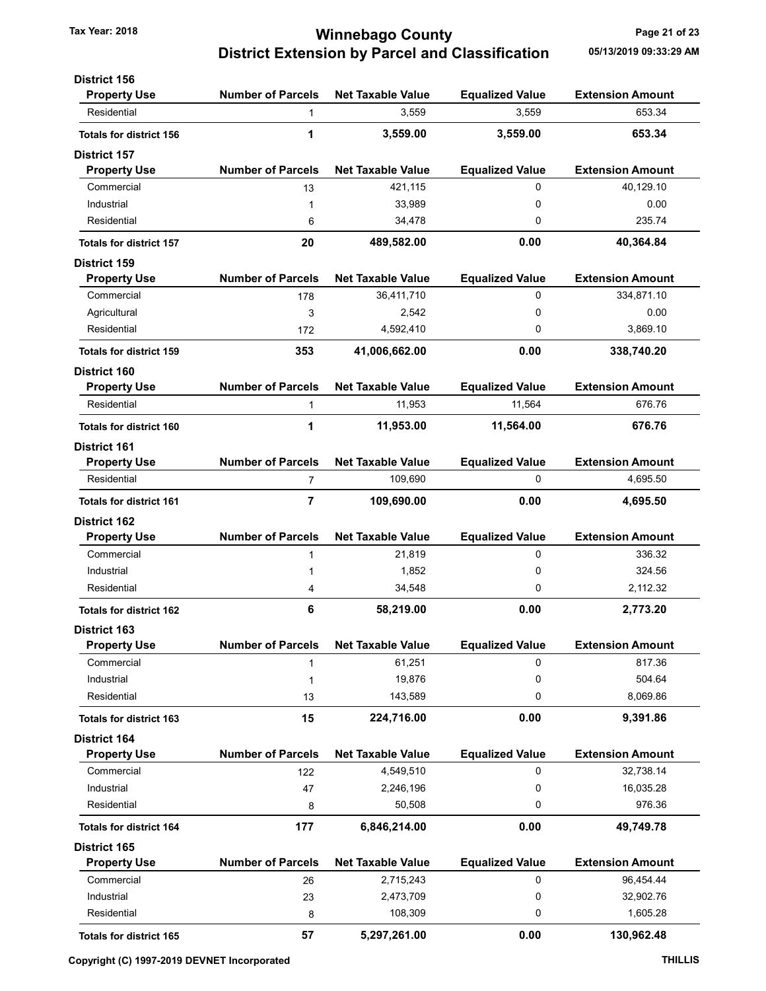### Tax Year: 2018 **Tax Year: 2018** Page 21 of 23 District Extension by Parcel and Classification 05/13/2019 09:33:29 AM

| <b>District 156</b>            |                          |                          |                                 |                                   |
|--------------------------------|--------------------------|--------------------------|---------------------------------|-----------------------------------|
| <b>Property Use</b>            | <b>Number of Parcels</b> | <b>Net Taxable Value</b> | <b>Equalized Value</b><br>3,559 | <b>Extension Amount</b><br>653.34 |
| Residential                    | $\mathbf{1}$             | 3,559                    |                                 |                                   |
| <b>Totals for district 156</b> | 1                        | 3,559.00                 | 3,559.00                        | 653.34                            |
| <b>District 157</b>            |                          |                          |                                 |                                   |
| <b>Property Use</b>            | <b>Number of Parcels</b> | <b>Net Taxable Value</b> | <b>Equalized Value</b>          | <b>Extension Amount</b>           |
| Commercial                     | 13                       | 421,115                  | 0                               | 40,129.10                         |
| Industrial                     | 1                        | 33,989                   | 0                               | 0.00                              |
| Residential                    | 6                        | 34,478                   | 0                               | 235.74                            |
| <b>Totals for district 157</b> | 20                       | 489,582.00               | 0.00                            | 40,364.84                         |
| <b>District 159</b>            |                          |                          |                                 |                                   |
| <b>Property Use</b>            | <b>Number of Parcels</b> | <b>Net Taxable Value</b> | <b>Equalized Value</b>          | <b>Extension Amount</b>           |
| Commercial                     | 178                      | 36,411,710               | 0                               | 334,871.10                        |
| Agricultural                   | 3                        | 2,542                    | 0                               | 0.00                              |
| Residential                    | 172                      | 4,592,410                | 0                               | 3,869.10                          |
| <b>Totals for district 159</b> | 353                      | 41,006,662.00            | 0.00                            | 338,740.20                        |
| <b>District 160</b>            |                          |                          |                                 |                                   |
| <b>Property Use</b>            | <b>Number of Parcels</b> | <b>Net Taxable Value</b> | <b>Equalized Value</b>          | <b>Extension Amount</b>           |
| Residential                    | $\mathbf{1}$             | 11,953                   | 11,564                          | 676.76                            |
| <b>Totals for district 160</b> | 1                        | 11,953.00                | 11,564.00                       | 676.76                            |
| <b>District 161</b>            |                          |                          |                                 |                                   |
| <b>Property Use</b>            | <b>Number of Parcels</b> | <b>Net Taxable Value</b> | <b>Equalized Value</b>          | <b>Extension Amount</b>           |
| Residential                    | 7                        | 109,690                  | 0                               | 4,695.50                          |
| <b>Totals for district 161</b> | 7                        | 109,690.00               | 0.00                            | 4,695.50                          |
| <b>District 162</b>            |                          |                          |                                 |                                   |
| <b>Property Use</b>            | <b>Number of Parcels</b> | <b>Net Taxable Value</b> | <b>Equalized Value</b>          | <b>Extension Amount</b>           |
| Commercial                     | $\mathbf{1}$             | 21,819                   | 0                               | 336.32                            |
| Industrial                     | 1                        | 1,852                    | 0                               | 324.56                            |
| Residential                    | 4                        | 34,548                   | 0                               | 2,112.32                          |
| <b>Totals for district 162</b> | 6                        | 58,219.00                | 0.00                            | 2,773.20                          |
| <b>District 163</b>            |                          |                          |                                 |                                   |
| <b>Property Use</b>            | <b>Number of Parcels</b> | <b>Net Taxable Value</b> | <b>Equalized Value</b>          | <b>Extension Amount</b>           |
| Commercial                     | 1                        | 61,251                   | 0                               | 817.36                            |
| Industrial                     | 1                        | 19,876                   | 0                               | 504.64                            |
| Residential                    | 13                       | 143,589                  | 0                               | 8,069.86                          |
| <b>Totals for district 163</b> | 15                       | 224,716.00               | 0.00                            | 9,391.86                          |
| District 164                   |                          |                          |                                 |                                   |
| <b>Property Use</b>            | <b>Number of Parcels</b> | <b>Net Taxable Value</b> | <b>Equalized Value</b>          | <b>Extension Amount</b>           |
| Commercial                     | 122                      | 4,549,510                | 0                               | 32,738.14                         |
| Industrial                     | 47                       | 2,246,196                | 0                               | 16,035.28                         |
| Residential                    | 8                        | 50,508                   | 0                               | 976.36                            |
| <b>Totals for district 164</b> | 177                      | 6,846,214.00             | 0.00                            | 49,749.78                         |
| District 165                   |                          |                          |                                 |                                   |
| <b>Property Use</b>            | <b>Number of Parcels</b> | <b>Net Taxable Value</b> | <b>Equalized Value</b>          | <b>Extension Amount</b>           |
| Commercial                     | 26                       | 2,715,243                | 0                               | 96,454.44                         |
| Industrial                     | 23                       | 2,473,709                | 0                               | 32,902.76                         |
| Residential                    | 8                        | 108,309                  | 0                               | 1,605.28                          |
| <b>Totals for district 165</b> | 57                       | 5,297,261.00             | 0.00                            | 130,962.48                        |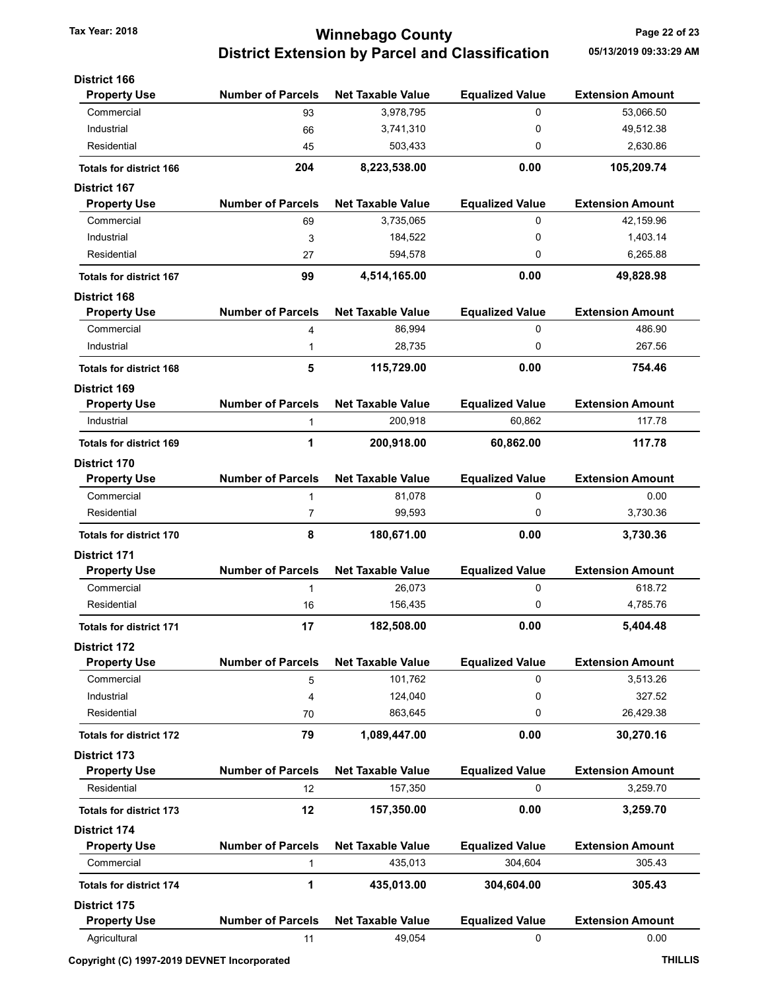# Tax Year: 2018 **Tax Year: 2018** Page 22 of 23 District Extension by Parcel and Classification 05/13/2019 09:33:29 AM

| <b>District 166</b>            |                          |                          |                        |                         |
|--------------------------------|--------------------------|--------------------------|------------------------|-------------------------|
| <b>Property Use</b>            | <b>Number of Parcels</b> | <b>Net Taxable Value</b> | <b>Equalized Value</b> | <b>Extension Amount</b> |
| Commercial                     | 93                       | 3,978,795                | 0                      | 53,066.50               |
| Industrial                     | 66                       | 3,741,310                | 0                      | 49,512.38               |
| Residential                    | 45                       | 503,433                  | 0                      | 2,630.86                |
| <b>Totals for district 166</b> | 204                      | 8,223,538.00             | 0.00                   | 105,209.74              |
| <b>District 167</b>            |                          |                          |                        |                         |
| <b>Property Use</b>            | <b>Number of Parcels</b> | <b>Net Taxable Value</b> | <b>Equalized Value</b> | <b>Extension Amount</b> |
| Commercial                     | 69                       | 3,735,065                | 0                      | 42,159.96               |
| Industrial                     | 3                        | 184,522                  | 0                      | 1,403.14                |
| Residential                    | 27                       | 594,578                  | 0                      | 6,265.88                |
| <b>Totals for district 167</b> | 99                       | 4,514,165.00             | 0.00                   | 49,828.98               |
| <b>District 168</b>            |                          |                          |                        |                         |
| <b>Property Use</b>            | <b>Number of Parcels</b> | <b>Net Taxable Value</b> | <b>Equalized Value</b> | <b>Extension Amount</b> |
| Commercial                     | 4                        | 86,994                   | 0                      | 486.90                  |
| Industrial                     | 1                        | 28,735                   | 0                      | 267.56                  |
| <b>Totals for district 168</b> | 5                        | 115,729.00               | 0.00                   | 754.46                  |
| <b>District 169</b>            |                          |                          |                        |                         |
| <b>Property Use</b>            | <b>Number of Parcels</b> | <b>Net Taxable Value</b> | <b>Equalized Value</b> | <b>Extension Amount</b> |
| Industrial                     | 1                        | 200,918                  | 60.862                 | 117.78                  |
| <b>Totals for district 169</b> | 1                        | 200,918.00               | 60,862.00              | 117.78                  |
| <b>District 170</b>            |                          |                          |                        |                         |
| <b>Property Use</b>            | <b>Number of Parcels</b> | <b>Net Taxable Value</b> | <b>Equalized Value</b> | <b>Extension Amount</b> |
| Commercial                     | 1                        | 81,078                   | 0                      | 0.00                    |
| Residential                    | 7                        | 99,593                   | 0                      | 3,730.36                |
| <b>Totals for district 170</b> | 8                        | 180,671.00               | 0.00                   | 3,730.36                |
| <b>District 171</b>            |                          |                          |                        |                         |
| <b>Property Use</b>            | <b>Number of Parcels</b> | <b>Net Taxable Value</b> | <b>Equalized Value</b> | <b>Extension Amount</b> |
| Commercial                     | 1                        | 26,073                   | 0                      | 618.72                  |
| Residential                    | 16                       | 156,435                  | 0                      | 4,785.76                |
| <b>Totals for district 171</b> | 17                       | 182,508.00               | 0.00                   | 5,404.48                |
| <b>District 172</b>            |                          |                          |                        |                         |
| <b>Property Use</b>            | <b>Number of Parcels</b> | <b>Net Taxable Value</b> | <b>Equalized Value</b> | <b>Extension Amount</b> |
| Commercial                     | 5                        | 101,762                  | 0                      | 3,513.26                |
| Industrial                     | 4                        | 124,040                  | 0                      | 327.52                  |
| Residential                    | 70                       | 863,645                  | 0                      | 26,429.38               |
| <b>Totals for district 172</b> | 79                       | 1,089,447.00             | 0.00                   | 30,270.16               |
| <b>District 173</b>            |                          |                          |                        |                         |
| <b>Property Use</b>            | <b>Number of Parcels</b> | <b>Net Taxable Value</b> | <b>Equalized Value</b> | <b>Extension Amount</b> |
| Residential                    | 12                       | 157,350                  | 0                      | 3,259.70                |
| <b>Totals for district 173</b> | 12                       | 157,350.00               | 0.00                   | 3,259.70                |
| <b>District 174</b>            |                          |                          |                        |                         |
| <b>Property Use</b>            | <b>Number of Parcels</b> | <b>Net Taxable Value</b> | <b>Equalized Value</b> | <b>Extension Amount</b> |
| Commercial                     | 1                        | 435,013                  | 304,604                | 305.43                  |
| <b>Totals for district 174</b> | 1                        | 435,013.00               | 304,604.00             | 305.43                  |
| <b>District 175</b>            |                          |                          |                        |                         |
| <b>Property Use</b>            | <b>Number of Parcels</b> | <b>Net Taxable Value</b> | <b>Equalized Value</b> | <b>Extension Amount</b> |
| Agricultural                   | 11                       | 49,054                   | 0                      | 0.00                    |